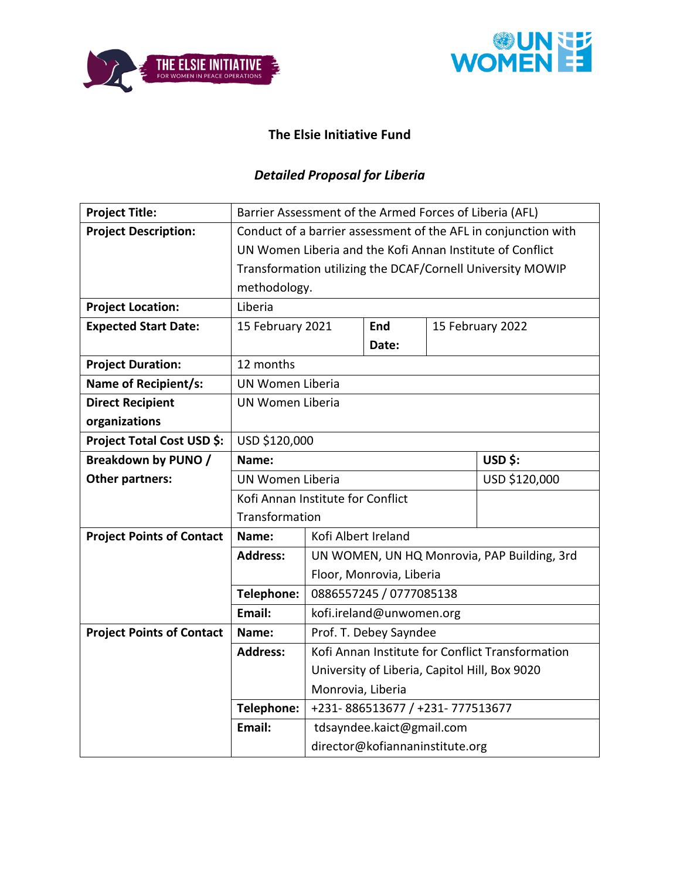



## **The Elsie Initiative Fund**

# *Detailed Proposal for Liberia*

| <b>Project Title:</b>            |                                                                |                                               | Barrier Assessment of the Armed Forces of Liberia (AFL) |  |                                                            |  |  |  |
|----------------------------------|----------------------------------------------------------------|-----------------------------------------------|---------------------------------------------------------|--|------------------------------------------------------------|--|--|--|
| <b>Project Description:</b>      | Conduct of a barrier assessment of the AFL in conjunction with |                                               |                                                         |  |                                                            |  |  |  |
|                                  |                                                                |                                               |                                                         |  | UN Women Liberia and the Kofi Annan Institute of Conflict  |  |  |  |
|                                  |                                                                |                                               |                                                         |  | Transformation utilizing the DCAF/Cornell University MOWIP |  |  |  |
|                                  | methodology.                                                   |                                               |                                                         |  |                                                            |  |  |  |
| <b>Project Location:</b>         | Liberia                                                        |                                               |                                                         |  |                                                            |  |  |  |
| <b>Expected Start Date:</b>      | 15 February 2021                                               |                                               | End                                                     |  | 15 February 2022                                           |  |  |  |
|                                  |                                                                |                                               | Date:                                                   |  |                                                            |  |  |  |
| <b>Project Duration:</b>         | 12 months                                                      |                                               |                                                         |  |                                                            |  |  |  |
| <b>Name of Recipient/s:</b>      | UN Women Liberia                                               |                                               |                                                         |  |                                                            |  |  |  |
| <b>Direct Recipient</b>          | UN Women Liberia                                               |                                               |                                                         |  |                                                            |  |  |  |
| organizations                    |                                                                |                                               |                                                         |  |                                                            |  |  |  |
| Project Total Cost USD \$:       | USD \$120,000                                                  |                                               |                                                         |  |                                                            |  |  |  |
| <b>Breakdown by PUNO /</b>       | USD \$:<br>Name:                                               |                                               |                                                         |  |                                                            |  |  |  |
| <b>Other partners:</b>           | UN Women Liberia<br>USD \$120,000                              |                                               |                                                         |  |                                                            |  |  |  |
|                                  | Kofi Annan Institute for Conflict                              |                                               |                                                         |  |                                                            |  |  |  |
|                                  | Transformation                                                 |                                               |                                                         |  |                                                            |  |  |  |
| <b>Project Points of Contact</b> | Name:                                                          | Kofi Albert Ireland                           |                                                         |  |                                                            |  |  |  |
|                                  | <b>Address:</b>                                                |                                               |                                                         |  | UN WOMEN, UN HQ Monrovia, PAP Building, 3rd                |  |  |  |
|                                  |                                                                |                                               | Floor, Monrovia, Liberia                                |  |                                                            |  |  |  |
|                                  | Telephone:                                                     |                                               | 0886557245 / 0777085138                                 |  |                                                            |  |  |  |
|                                  | Email:                                                         |                                               | kofi.ireland@unwomen.org                                |  |                                                            |  |  |  |
| <b>Project Points of Contact</b> | Name:                                                          |                                               | Prof. T. Debey Sayndee                                  |  |                                                            |  |  |  |
|                                  | <b>Address:</b>                                                |                                               |                                                         |  | Kofi Annan Institute for Conflict Transformation           |  |  |  |
|                                  |                                                                | University of Liberia, Capitol Hill, Box 9020 |                                                         |  |                                                            |  |  |  |
|                                  |                                                                | Monrovia, Liberia                             |                                                         |  |                                                            |  |  |  |
|                                  | Telephone:                                                     |                                               | +231-886513677 / +231-777513677                         |  |                                                            |  |  |  |
|                                  | Email:                                                         |                                               | tdsayndee.kaict@gmail.com                               |  |                                                            |  |  |  |
|                                  |                                                                |                                               | director@kofiannaninstitute.org                         |  |                                                            |  |  |  |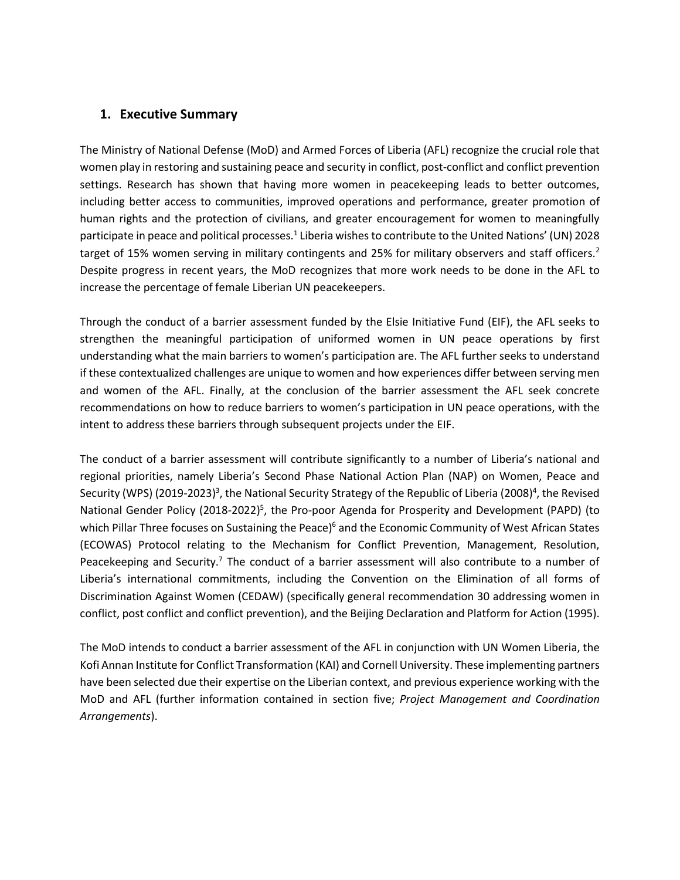#### **1. Executive Summary**

The Ministry of National Defense (MoD) and Armed Forces of Liberia (AFL) recognize the crucial role that women play in restoring and sustaining peace and security in conflict, post-conflict and conflict prevention settings. Research has shown that having more women in peacekeeping leads to better outcomes, including better access to communities, improved operations and performance, greater promotion of human rights and the protection of civilians, and greater encouragement for women to meaningfully participate in peace and political processes.<sup>1</sup> Liberia wishes to contribute to the United Nations' (UN) 2028 target of 15% women serving in military contingents and 25% for military observers and staff officers.<sup>2</sup> Despite progress in recent years, the MoD recognizes that more work needs to be done in the AFL to increase the percentage of female Liberian UN peacekeepers.

Through the conduct of a barrier assessment funded by the Elsie Initiative Fund (EIF), the AFL seeks to strengthen the meaningful participation of uniformed women in UN peace operations by first understanding what the main barriers to women's participation are. The AFL further seeks to understand if these contextualized challenges are unique to women and how experiences differ between serving men and women of the AFL. Finally, at the conclusion of the barrier assessment the AFL seek concrete recommendations on how to reduce barriers to women's participation in UN peace operations, with the intent to address these barriers through subsequent projects under the EIF.

The conduct of a barrier assessment will contribute significantly to a number of Liberia's national and regional priorities, namely Liberia's Second Phase National Action Plan (NAP) on Women, Peace and Security (WPS) (2019-2023)<sup>3</sup>, the National Security Strategy of the Republic of Liberia (2008)<sup>4</sup>, the Revised National Gender Policy (2018-2022)<sup>5</sup>, the Pro-poor Agenda for Prosperity and Development (PAPD) (to which Pillar Three focuses on Sustaining the Peace)<sup>6</sup> and the Economic Community of West African States (ECOWAS) Protocol relating to the Mechanism for Conflict Prevention, Management, Resolution, Peacekeeping and Security.<sup>7</sup> The conduct of a barrier assessment will also contribute to a number of Liberia's international commitments, including the Convention on the Elimination of all forms of Discrimination Against Women (CEDAW) (specifically general recommendation 30 addressing women in conflict, post conflict and conflict prevention), and the Beijing Declaration and Platform for Action (1995).

The MoD intends to conduct a barrier assessment of the AFL in conjunction with UN Women Liberia, the Kofi Annan Institute for Conflict Transformation (KAI) and Cornell University. These implementing partners have been selected due their expertise on the Liberian context, and previous experience working with the MoD and AFL (further information contained in section five; *Project Management and Coordination Arrangements*).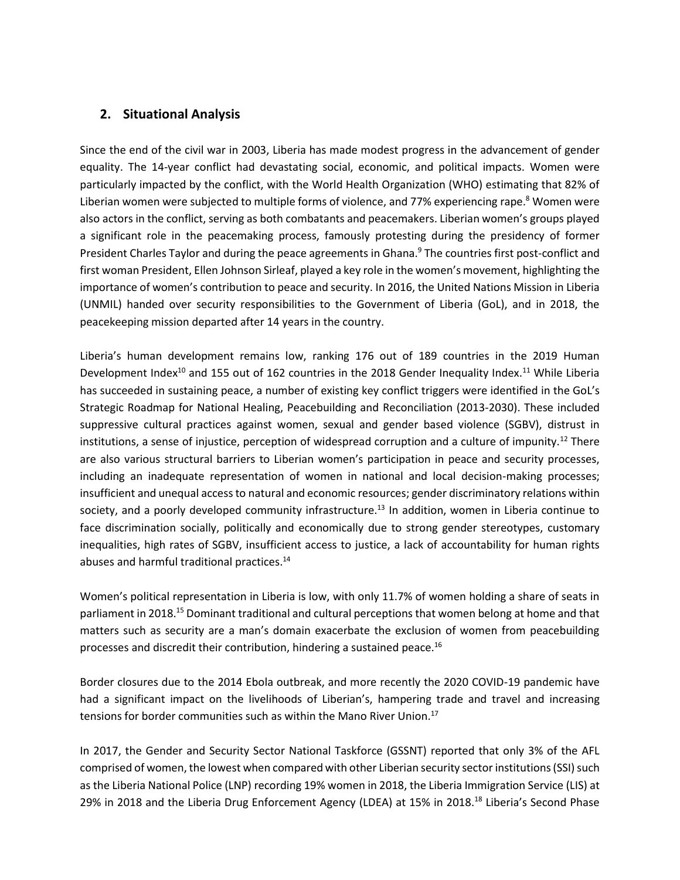### **2. Situational Analysis**

Since the end of the civil war in 2003, Liberia has made modest progress in the advancement of gender equality. The 14-year conflict had devastating social, economic, and political impacts. Women were particularly impacted by the conflict, with the World Health Organization (WHO) estimating that 82% of Liberian women were subjected to multiple forms of violence, and 77% experiencing rape.<sup>8</sup> Women were also actors in the conflict, serving as both combatants and peacemakers. Liberian women's groups played a significant role in the peacemaking process, famously protesting during the presidency of former President Charles Taylor and during the peace agreements in Ghana.<sup>9</sup> The countries first post-conflict and first woman President, Ellen Johnson Sirleaf, played a key role in the women's movement, highlighting the importance of women's contribution to peace and security. In 2016, the United Nations Mission in Liberia (UNMIL) handed over security responsibilities to the Government of Liberia (GoL), and in 2018, the peacekeeping mission departed after 14 years in the country.

Liberia's human development remains low, ranking 176 out of 189 countries in the 2019 Human Development Index<sup>10</sup> and 155 out of 162 countries in the 2018 Gender Inequality Index.<sup>11</sup> While Liberia has succeeded in sustaining peace, a number of existing key conflict triggers were identified in the GoL's Strategic Roadmap for National Healing, Peacebuilding and Reconciliation (2013-2030). These included suppressive cultural practices against women, sexual and gender based violence (SGBV), distrust in institutions, a sense of injustice, perception of widespread corruption and a culture of impunity.<sup>12</sup> There are also various structural barriers to Liberian women's participation in peace and security processes, including an inadequate representation of women in national and local decision-making processes; insufficient and unequal access to natural and economic resources; gender discriminatory relations within society, and a poorly developed community infrastructure.<sup>13</sup> In addition, women in Liberia continue to face discrimination socially, politically and economically due to strong gender stereotypes, customary inequalities, high rates of SGBV, insufficient access to justice, a lack of accountability for human rights abuses and harmful traditional practices.<sup>14</sup>

Women's political representation in Liberia is low, with only 11.7% of women holding a share of seats in parliament in 2018.<sup>15</sup> Dominant traditional and cultural perceptions that women belong at home and that matters such as security are a man's domain exacerbate the exclusion of women from peacebuilding processes and discredit their contribution, hindering a sustained peace.<sup>16</sup>

Border closures due to the 2014 Ebola outbreak, and more recently the 2020 COVID-19 pandemic have had a significant impact on the livelihoods of Liberian's, hampering trade and travel and increasing tensions for border communities such as within the Mano River Union.<sup>17</sup>

In 2017, the Gender and Security Sector National Taskforce (GSSNT) reported that only 3% of the AFL comprised of women, the lowest when compared with other Liberian security sector institutions (SSI) such as the Liberia National Police (LNP) recording 19% women in 2018, the Liberia Immigration Service (LIS) at 29% in 2018 and the Liberia Drug Enforcement Agency (LDEA) at 15% in 2018.<sup>18</sup> Liberia's Second Phase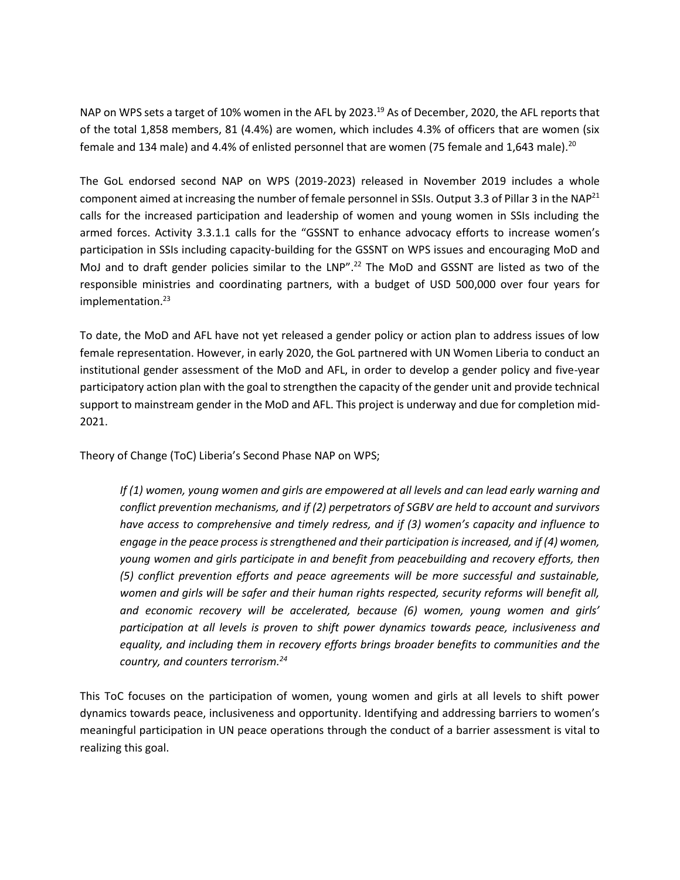NAP on WPS sets a target of 10% women in the AFL by 2023.<sup>19</sup> As of December, 2020, the AFL reports that of the total 1,858 members, 81 (4.4%) are women, which includes 4.3% of officers that are women (six female and 134 male) and 4.4% of enlisted personnel that are women (75 female and 1,643 male).<sup>20</sup>

The GoL endorsed second NAP on WPS (2019-2023) released in November 2019 includes a whole component aimed at increasing the number of female personnel in SSIs. Output 3.3 of Pillar 3 in the NAP<sup>21</sup> calls for the increased participation and leadership of women and young women in SSIs including the armed forces. Activity 3.3.1.1 calls for the "GSSNT to enhance advocacy efforts to increase women's participation in SSIs including capacity-building for the GSSNT on WPS issues and encouraging MoD and MoJ and to draft gender policies similar to the LNP".<sup>22</sup> The MoD and GSSNT are listed as two of the responsible ministries and coordinating partners, with a budget of USD 500,000 over four years for implementation. 23

To date, the MoD and AFL have not yet released a gender policy or action plan to address issues of low female representation. However, in early 2020, the GoL partnered with UN Women Liberia to conduct an institutional gender assessment of the MoD and AFL, in order to develop a gender policy and five-year participatory action plan with the goal to strengthen the capacity of the gender unit and provide technical support to mainstream gender in the MoD and AFL. This project is underway and due for completion mid-2021.

Theory of Change (ToC) Liberia's Second Phase NAP on WPS;

*If (1) women, young women and girls are empowered at all levels and can lead early warning and conflict prevention mechanisms, and if (2) perpetrators of SGBV are held to account and survivors have access to comprehensive and timely redress, and if (3) women's capacity and influence to engage in the peace process is strengthened and their participation is increased, and if (4) women, young women and girls participate in and benefit from peacebuilding and recovery efforts, then (5) conflict prevention efforts and peace agreements will be more successful and sustainable, women and girls will be safer and their human rights respected, security reforms will benefit all, and economic recovery will be accelerated, because (6) women, young women and girls' participation at all levels is proven to shift power dynamics towards peace, inclusiveness and equality, and including them in recovery efforts brings broader benefits to communities and the country, and counters terrorism.<sup>24</sup>*

This ToC focuses on the participation of women, young women and girls at all levels to shift power dynamics towards peace, inclusiveness and opportunity. Identifying and addressing barriers to women's meaningful participation in UN peace operations through the conduct of a barrier assessment is vital to realizing this goal.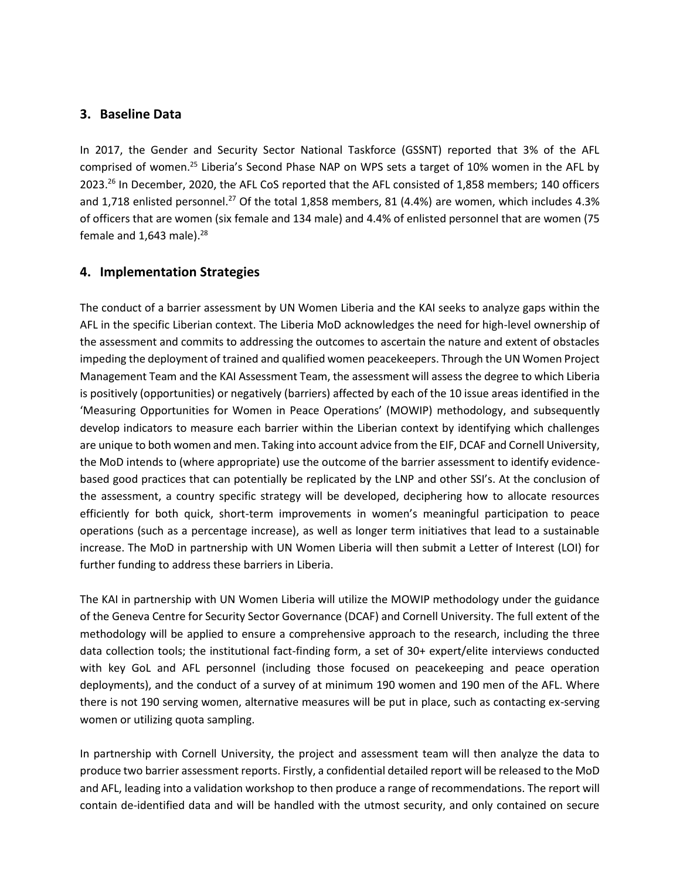#### **3. Baseline Data**

In 2017, the Gender and Security Sector National Taskforce (GSSNT) reported that 3% of the AFL comprised of women.<sup>25</sup> Liberia's Second Phase NAP on WPS sets a target of 10% women in the AFL by 2023.<sup>26</sup> In December, 2020, the AFL CoS reported that the AFL consisted of 1,858 members; 140 officers and 1,718 enlisted personnel.<sup>27</sup> Of the total 1,858 members, 81 (4.4%) are women, which includes 4.3% of officers that are women (six female and 134 male) and 4.4% of enlisted personnel that are women (75 female and  $1,643$  male).<sup>28</sup>

#### **4. Implementation Strategies**

The conduct of a barrier assessment by UN Women Liberia and the KAI seeks to analyze gaps within the AFL in the specific Liberian context. The Liberia MoD acknowledges the need for high-level ownership of the assessment and commits to addressing the outcomes to ascertain the nature and extent of obstacles impeding the deployment of trained and qualified women peacekeepers. Through the UN Women Project Management Team and the KAI Assessment Team, the assessment will assess the degree to which Liberia is positively (opportunities) or negatively (barriers) affected by each of the 10 issue areas identified in the 'Measuring Opportunities for Women in Peace Operations' (MOWIP) methodology, and subsequently develop indicators to measure each barrier within the Liberian context by identifying which challenges are unique to both women and men. Taking into account advice from the EIF, DCAF and Cornell University, the MoD intends to (where appropriate) use the outcome of the barrier assessment to identify evidencebased good practices that can potentially be replicated by the LNP and other SSI's. At the conclusion of the assessment, a country specific strategy will be developed, deciphering how to allocate resources efficiently for both quick, short-term improvements in women's meaningful participation to peace operations (such as a percentage increase), as well as longer term initiatives that lead to a sustainable increase. The MoD in partnership with UN Women Liberia will then submit a Letter of Interest (LOI) for further funding to address these barriers in Liberia.

The KAI in partnership with UN Women Liberia will utilize the MOWIP methodology under the guidance of the Geneva Centre for Security Sector Governance (DCAF) and Cornell University. The full extent of the methodology will be applied to ensure a comprehensive approach to the research, including the three data collection tools; the institutional fact-finding form, a set of 30+ expert/elite interviews conducted with key GoL and AFL personnel (including those focused on peacekeeping and peace operation deployments), and the conduct of a survey of at minimum 190 women and 190 men of the AFL. Where there is not 190 serving women, alternative measures will be put in place, such as contacting ex-serving women or utilizing quota sampling.

In partnership with Cornell University, the project and assessment team will then analyze the data to produce two barrier assessment reports. Firstly, a confidential detailed report will be released to the MoD and AFL, leading into a validation workshop to then produce a range of recommendations. The report will contain de-identified data and will be handled with the utmost security, and only contained on secure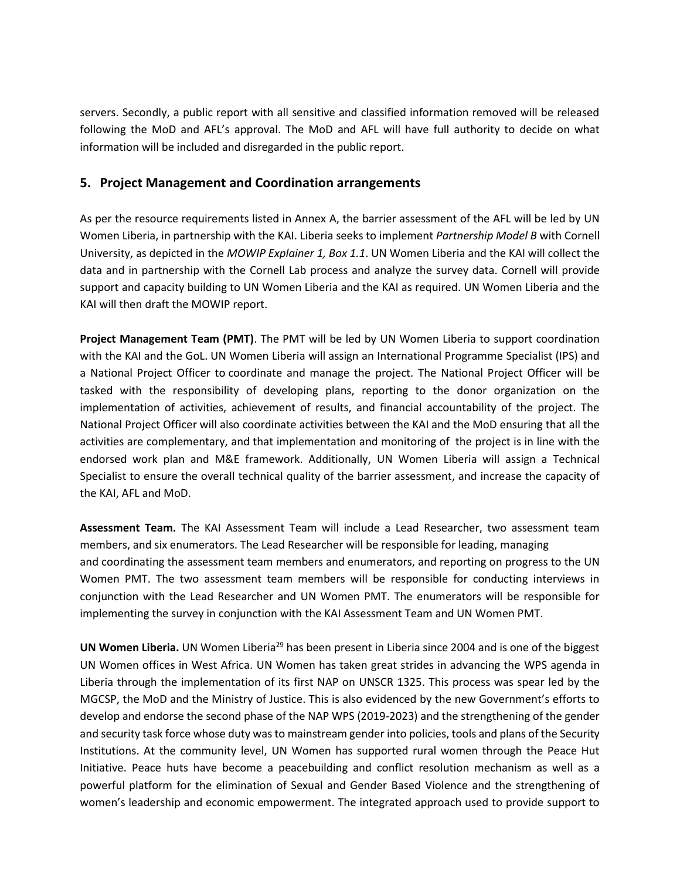servers. Secondly, a public report with all sensitive and classified information removed will be released following the MoD and AFL's approval. The MoD and AFL will have full authority to decide on what information will be included and disregarded in the public report.

#### **5. Project Management and Coordination arrangements**

As per the resource requirements listed in Annex A, the barrier assessment of the AFL will be led by UN Women Liberia, in partnership with the KAI. Liberia seeks to implement *Partnership Model B* with Cornell University, as depicted in the *MOWIP Explainer 1, Box 1.1*. UN Women Liberia and the KAI will collect the data and in partnership with the Cornell Lab process and analyze the survey data. Cornell will provide support and capacity building to UN Women Liberia and the KAI as required. UN Women Liberia and the KAI will then draft the MOWIP report.

**Project Management Team (PMT)**. The PMT will be led by UN Women Liberia to support coordination with the KAI and the GoL. UN Women Liberia will assign an International Programme Specialist (IPS) and a National Project Officer to coordinate and manage the project. The National Project Officer will be tasked with the responsibility of developing plans, reporting to the donor organization on the implementation of activities, achievement of results, and financial accountability of the project. The National Project Officer will also coordinate activities between the KAI and the MoD ensuring that all the activities are complementary, and that implementation and monitoring of the project is in line with the endorsed work plan and M&E framework. Additionally, UN Women Liberia will assign a Technical Specialist to ensure the overall technical quality of the barrier assessment, and increase the capacity of the KAI, AFL and MoD.

**Assessment Team.** The KAI Assessment Team will include a Lead Researcher, two assessment team members, and six enumerators. The Lead Researcher will be responsible for leading, managing and coordinating the assessment team members and enumerators, and reporting on progress to the UN Women PMT. The two assessment team members will be responsible for conducting interviews in conjunction with the Lead Researcher and UN Women PMT. The enumerators will be responsible for implementing the survey in conjunction with the KAI Assessment Team and UN Women PMT.

**UN Women Liberia.** UN Women Liberia<sup>29</sup> has been present in Liberia since 2004 and is one of the biggest UN Women offices in West Africa. UN Women has taken great strides in advancing the WPS agenda in Liberia through the implementation of its first NAP on UNSCR 1325. This process was spear led by the MGCSP, the MoD and the Ministry of Justice. This is also evidenced by the new Government's efforts to develop and endorse the second phase of the NAP WPS (2019-2023) and the strengthening of the gender and security task force whose duty was to mainstream gender into policies, tools and plans of the Security Institutions. At the community level, UN Women has supported rural women through the Peace Hut Initiative. Peace huts have become a peacebuilding and conflict resolution mechanism as well as a powerful platform for the elimination of Sexual and Gender Based Violence and the strengthening of women's leadership and economic empowerment. The integrated approach used to provide support to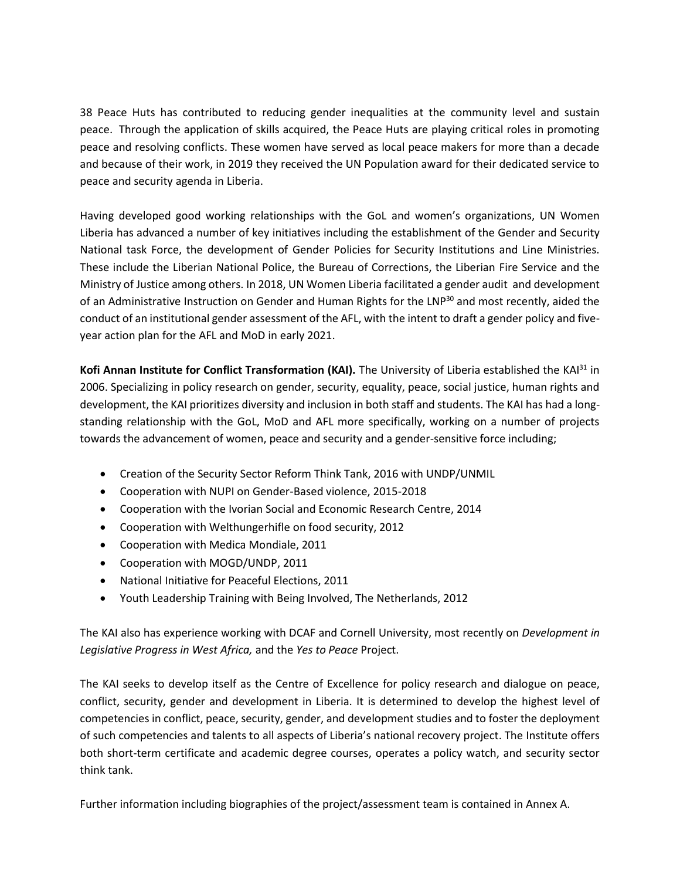38 Peace Huts has contributed to reducing gender inequalities at the community level and sustain peace. Through the application of skills acquired, the Peace Huts are playing critical roles in promoting peace and resolving conflicts. These women have served as local peace makers for more than a decade and because of their work, in 2019 they received the UN Population award for their dedicated service to peace and security agenda in Liberia.

Having developed good working relationships with the GoL and women's organizations, UN Women Liberia has advanced a number of key initiatives including the establishment of the Gender and Security National task Force, the development of Gender Policies for Security Institutions and Line Ministries. These include the Liberian National Police, the Bureau of Corrections, the Liberian Fire Service and the Ministry of Justice among others. In 2018, UN Women Liberia facilitated a gender audit and development of an Administrative Instruction on Gender and Human Rights for the LNP<sup>30</sup> and most recently, aided the conduct of an institutional gender assessment of the AFL, with the intent to draft a gender policy and fiveyear action plan for the AFL and MoD in early 2021.

**Kofi Annan Institute for Conflict Transformation (KAI).** The University of Liberia established the KAI<sup>31</sup> in 2006. Specializing in policy research on gender, security, equality, peace, social justice, human rights and development, the KAI prioritizes diversity and inclusion in both staff and students. The KAI has had a longstanding relationship with the GoL, MoD and AFL more specifically, working on a number of projects towards the advancement of women, peace and security and a gender-sensitive force including;

- Creation of the Security Sector Reform Think Tank, 2016 with UNDP/UNMIL
- Cooperation with NUPI on Gender-Based violence, 2015-2018
- Cooperation with the Ivorian Social and Economic Research Centre, 2014
- Cooperation with Welthungerhifle on food security, 2012
- Cooperation with Medica Mondiale, 2011
- Cooperation with MOGD/UNDP, 2011
- National Initiative for Peaceful Elections, 2011
- Youth Leadership Training with Being Involved, The Netherlands, 2012

The KAI also has experience working with DCAF and Cornell University, most recently on *Development in Legislative Progress in West Africa,* and the *Yes to Peace* Project.

The KAI seeks to develop itself as the Centre of Excellence for policy research and dialogue on peace, conflict, security, gender and development in Liberia. It is determined to develop the highest level of competencies in conflict, peace, security, gender, and development studies and to foster the deployment of such competencies and talents to all aspects of Liberia's national recovery project. The Institute offers both short-term certificate and academic degree courses, operates a policy watch, and security sector think tank.

Further information including biographies of the project/assessment team is contained in Annex A.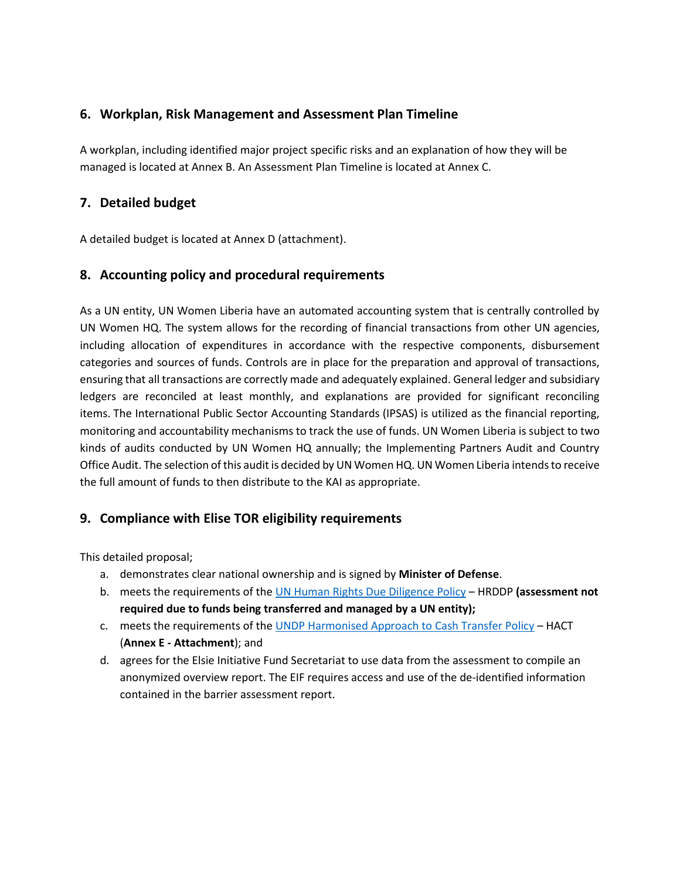## **6. Workplan, Risk Management and Assessment Plan Timeline**

A workplan, including identified major project specific risks and an explanation of how they will be managed is located at Annex B. An Assessment Plan Timeline is located at Annex C.

## **7. Detailed budget**

A detailed budget is located at Annex D (attachment).

### **8. Accounting policy and procedural requirements**

As a UN entity, UN Women Liberia have an automated accounting system that is centrally controlled by UN Women HQ. The system allows for the recording of financial transactions from other UN agencies, including allocation of expenditures in accordance with the respective components, disbursement categories and sources of funds. Controls are in place for the preparation and approval of transactions, ensuring that all transactions are correctly made and adequately explained. General ledger and subsidiary ledgers are reconciled at least monthly, and explanations are provided for significant reconciling items. The International Public Sector Accounting Standards (IPSAS) is utilized as the financial reporting, monitoring and accountability mechanisms to track the use of funds. UN Women Liberia is subject to two kinds of audits conducted by UN Women HQ annually; the Implementing Partners Audit and Country Office Audit. The selection of this audit is decided by UN Women HQ. UN Women Liberia intends to receive the full amount of funds to then distribute to the KAI as appropriate.

### **9. Compliance with Elise TOR eligibility requirements**

This detailed proposal;

- a. demonstrates clear national ownership and is signed by **Minister of Defense**.
- b. meets the requirements of the [UN Human Rights Due Diligence Policy](about:blank) HRDDP **(assessment not required due to funds being transferred and managed by a UN entity);**
- c. meets the requirements of the UNDP Harmonised [Approach to Cash Transfer Policy](about:blank) HACT (**Annex E - Attachment**); and
- d. agrees for the Elsie Initiative Fund Secretariat to use data from the assessment to compile an anonymized overview report. The EIF requires access and use of the de-identified information contained in the barrier assessment report.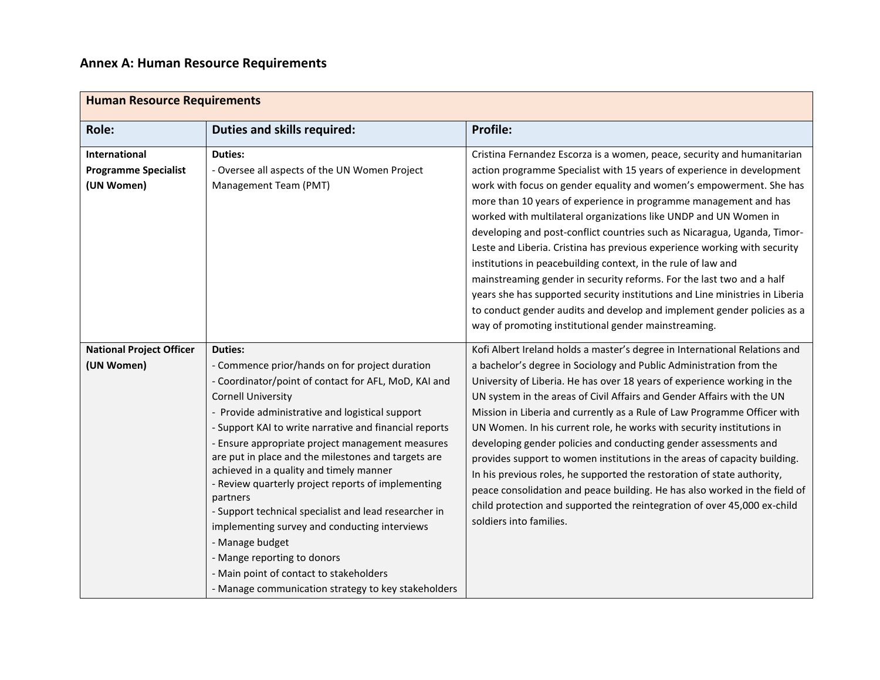| <b>Human Resource Requirements</b>                         |                                                                                                                                                                                                                                                                                                                                                                                                                                                                                                                                                                                                                                                                                                                                                          |                                                                                                                                                                                                                                                                                                                                                                                                                                                                                                                                                                                                                                                                                                                                                                                                                                                                                        |  |  |  |  |
|------------------------------------------------------------|----------------------------------------------------------------------------------------------------------------------------------------------------------------------------------------------------------------------------------------------------------------------------------------------------------------------------------------------------------------------------------------------------------------------------------------------------------------------------------------------------------------------------------------------------------------------------------------------------------------------------------------------------------------------------------------------------------------------------------------------------------|----------------------------------------------------------------------------------------------------------------------------------------------------------------------------------------------------------------------------------------------------------------------------------------------------------------------------------------------------------------------------------------------------------------------------------------------------------------------------------------------------------------------------------------------------------------------------------------------------------------------------------------------------------------------------------------------------------------------------------------------------------------------------------------------------------------------------------------------------------------------------------------|--|--|--|--|
| <b>Role:</b>                                               | <b>Duties and skills required:</b>                                                                                                                                                                                                                                                                                                                                                                                                                                                                                                                                                                                                                                                                                                                       | <b>Profile:</b>                                                                                                                                                                                                                                                                                                                                                                                                                                                                                                                                                                                                                                                                                                                                                                                                                                                                        |  |  |  |  |
| International<br><b>Programme Specialist</b><br>(UN Women) | <b>Duties:</b><br>- Oversee all aspects of the UN Women Project<br>Management Team (PMT)                                                                                                                                                                                                                                                                                                                                                                                                                                                                                                                                                                                                                                                                 | Cristina Fernandez Escorza is a women, peace, security and humanitarian<br>action programme Specialist with 15 years of experience in development<br>work with focus on gender equality and women's empowerment. She has<br>more than 10 years of experience in programme management and has<br>worked with multilateral organizations like UNDP and UN Women in<br>developing and post-conflict countries such as Nicaragua, Uganda, Timor-<br>Leste and Liberia. Cristina has previous experience working with security<br>institutions in peacebuilding context, in the rule of law and<br>mainstreaming gender in security reforms. For the last two and a half<br>years she has supported security institutions and Line ministries in Liberia<br>to conduct gender audits and develop and implement gender policies as a<br>way of promoting institutional gender mainstreaming. |  |  |  |  |
| <b>National Project Officer</b><br>(UN Women)              | <b>Duties:</b><br>- Commence prior/hands on for project duration<br>- Coordinator/point of contact for AFL, MoD, KAI and<br><b>Cornell University</b><br>- Provide administrative and logistical support<br>- Support KAI to write narrative and financial reports<br>- Ensure appropriate project management measures<br>are put in place and the milestones and targets are<br>achieved in a quality and timely manner<br>- Review quarterly project reports of implementing<br>partners<br>- Support technical specialist and lead researcher in<br>implementing survey and conducting interviews<br>- Manage budget<br>- Mange reporting to donors<br>- Main point of contact to stakeholders<br>- Manage communication strategy to key stakeholders | Kofi Albert Ireland holds a master's degree in International Relations and<br>a bachelor's degree in Sociology and Public Administration from the<br>University of Liberia. He has over 18 years of experience working in the<br>UN system in the areas of Civil Affairs and Gender Affairs with the UN<br>Mission in Liberia and currently as a Rule of Law Programme Officer with<br>UN Women. In his current role, he works with security institutions in<br>developing gender policies and conducting gender assessments and<br>provides support to women institutions in the areas of capacity building.<br>In his previous roles, he supported the restoration of state authority,<br>peace consolidation and peace building. He has also worked in the field of<br>child protection and supported the reintegration of over 45,000 ex-child<br>soldiers into families.          |  |  |  |  |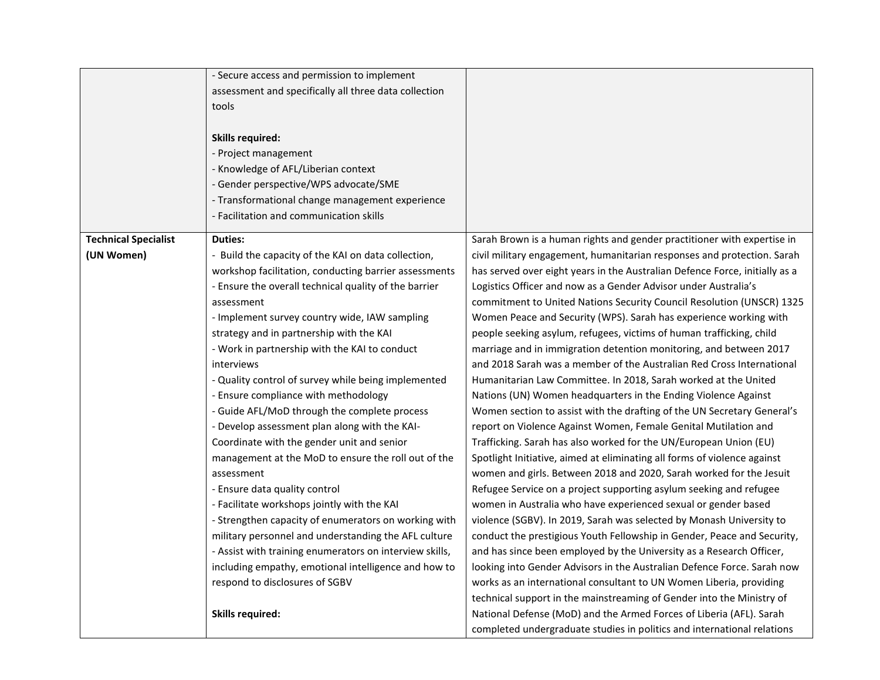|                             | - Secure access and permission to implement             |                                                                             |
|-----------------------------|---------------------------------------------------------|-----------------------------------------------------------------------------|
|                             | assessment and specifically all three data collection   |                                                                             |
|                             | tools                                                   |                                                                             |
|                             |                                                         |                                                                             |
|                             | <b>Skills required:</b>                                 |                                                                             |
|                             | - Project management                                    |                                                                             |
|                             | - Knowledge of AFL/Liberian context                     |                                                                             |
|                             | - Gender perspective/WPS advocate/SME                   |                                                                             |
|                             | - Transformational change management experience         |                                                                             |
|                             | - Facilitation and communication skills                 |                                                                             |
|                             |                                                         |                                                                             |
| <b>Technical Specialist</b> | <b>Duties:</b>                                          | Sarah Brown is a human rights and gender practitioner with expertise in     |
| (UN Women)                  | - Build the capacity of the KAI on data collection,     | civil military engagement, humanitarian responses and protection. Sarah     |
|                             | workshop facilitation, conducting barrier assessments   | has served over eight years in the Australian Defence Force, initially as a |
|                             | - Ensure the overall technical quality of the barrier   | Logistics Officer and now as a Gender Advisor under Australia's             |
|                             | assessment                                              | commitment to United Nations Security Council Resolution (UNSCR) 1325       |
|                             | - Implement survey country wide, IAW sampling           | Women Peace and Security (WPS). Sarah has experience working with           |
|                             | strategy and in partnership with the KAI                | people seeking asylum, refugees, victims of human trafficking, child        |
|                             | - Work in partnership with the KAI to conduct           | marriage and in immigration detention monitoring, and between 2017          |
|                             | interviews                                              | and 2018 Sarah was a member of the Australian Red Cross International       |
|                             | - Quality control of survey while being implemented     | Humanitarian Law Committee. In 2018, Sarah worked at the United             |
|                             | - Ensure compliance with methodology                    | Nations (UN) Women headquarters in the Ending Violence Against              |
|                             | - Guide AFL/MoD through the complete process            | Women section to assist with the drafting of the UN Secretary General's     |
|                             | - Develop assessment plan along with the KAI-           | report on Violence Against Women, Female Genital Mutilation and             |
|                             | Coordinate with the gender unit and senior              | Trafficking. Sarah has also worked for the UN/European Union (EU)           |
|                             | management at the MoD to ensure the roll out of the     | Spotlight Initiative, aimed at eliminating all forms of violence against    |
|                             | assessment                                              | women and girls. Between 2018 and 2020, Sarah worked for the Jesuit         |
|                             | - Ensure data quality control                           | Refugee Service on a project supporting asylum seeking and refugee          |
|                             | - Facilitate workshops jointly with the KAI             | women in Australia who have experienced sexual or gender based              |
|                             | - Strengthen capacity of enumerators on working with    | violence (SGBV). In 2019, Sarah was selected by Monash University to        |
|                             | military personnel and understanding the AFL culture    | conduct the prestigious Youth Fellowship in Gender, Peace and Security,     |
|                             | - Assist with training enumerators on interview skills, | and has since been employed by the University as a Research Officer,        |
|                             | including empathy, emotional intelligence and how to    | looking into Gender Advisors in the Australian Defence Force. Sarah now     |
|                             | respond to disclosures of SGBV                          | works as an international consultant to UN Women Liberia, providing         |
|                             |                                                         | technical support in the mainstreaming of Gender into the Ministry of       |
|                             | <b>Skills required:</b>                                 | National Defense (MoD) and the Armed Forces of Liberia (AFL). Sarah         |
|                             |                                                         | completed undergraduate studies in politics and international relations     |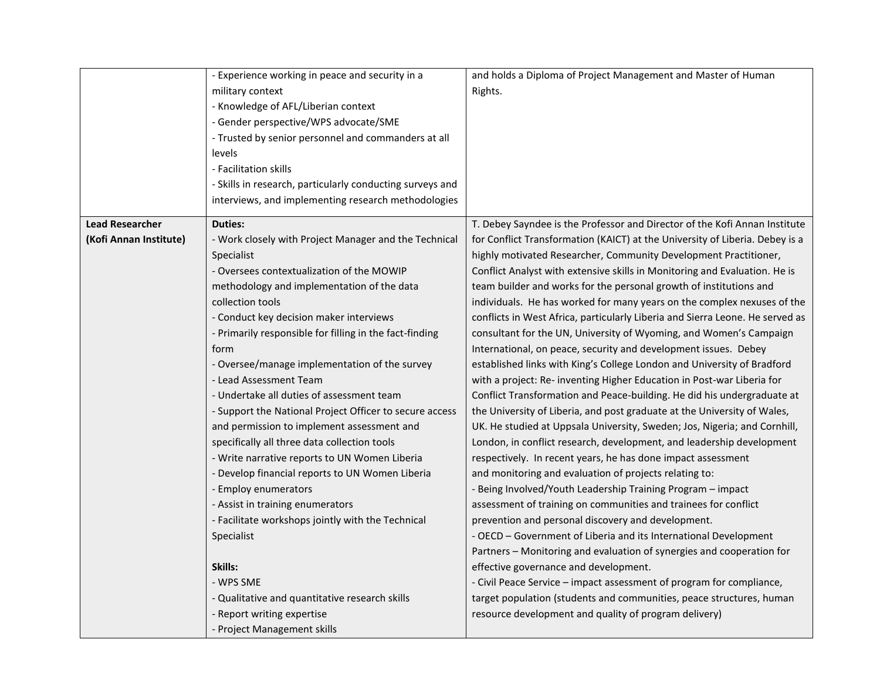| - Experience working in peace and security in a         | and holds a Diploma of Project Management and Master of Human                                                                                                                                                                                                                                                                                                                                                                                                                                                                                                                                                                                                                                                                                                                                                                                      |
|---------------------------------------------------------|----------------------------------------------------------------------------------------------------------------------------------------------------------------------------------------------------------------------------------------------------------------------------------------------------------------------------------------------------------------------------------------------------------------------------------------------------------------------------------------------------------------------------------------------------------------------------------------------------------------------------------------------------------------------------------------------------------------------------------------------------------------------------------------------------------------------------------------------------|
| military context                                        | Rights.                                                                                                                                                                                                                                                                                                                                                                                                                                                                                                                                                                                                                                                                                                                                                                                                                                            |
| - Knowledge of AFL/Liberian context                     |                                                                                                                                                                                                                                                                                                                                                                                                                                                                                                                                                                                                                                                                                                                                                                                                                                                    |
|                                                         |                                                                                                                                                                                                                                                                                                                                                                                                                                                                                                                                                                                                                                                                                                                                                                                                                                                    |
|                                                         |                                                                                                                                                                                                                                                                                                                                                                                                                                                                                                                                                                                                                                                                                                                                                                                                                                                    |
| levels                                                  |                                                                                                                                                                                                                                                                                                                                                                                                                                                                                                                                                                                                                                                                                                                                                                                                                                                    |
|                                                         |                                                                                                                                                                                                                                                                                                                                                                                                                                                                                                                                                                                                                                                                                                                                                                                                                                                    |
|                                                         |                                                                                                                                                                                                                                                                                                                                                                                                                                                                                                                                                                                                                                                                                                                                                                                                                                                    |
|                                                         |                                                                                                                                                                                                                                                                                                                                                                                                                                                                                                                                                                                                                                                                                                                                                                                                                                                    |
|                                                         |                                                                                                                                                                                                                                                                                                                                                                                                                                                                                                                                                                                                                                                                                                                                                                                                                                                    |
| <b>Duties:</b>                                          | T. Debey Sayndee is the Professor and Director of the Kofi Annan Institute                                                                                                                                                                                                                                                                                                                                                                                                                                                                                                                                                                                                                                                                                                                                                                         |
| - Work closely with Project Manager and the Technical   | for Conflict Transformation (KAICT) at the University of Liberia. Debey is a                                                                                                                                                                                                                                                                                                                                                                                                                                                                                                                                                                                                                                                                                                                                                                       |
| Specialist                                              | highly motivated Researcher, Community Development Practitioner,                                                                                                                                                                                                                                                                                                                                                                                                                                                                                                                                                                                                                                                                                                                                                                                   |
| - Oversees contextualization of the MOWIP               | Conflict Analyst with extensive skills in Monitoring and Evaluation. He is                                                                                                                                                                                                                                                                                                                                                                                                                                                                                                                                                                                                                                                                                                                                                                         |
| methodology and implementation of the data              | team builder and works for the personal growth of institutions and                                                                                                                                                                                                                                                                                                                                                                                                                                                                                                                                                                                                                                                                                                                                                                                 |
| collection tools                                        | individuals. He has worked for many years on the complex nexuses of the                                                                                                                                                                                                                                                                                                                                                                                                                                                                                                                                                                                                                                                                                                                                                                            |
| - Conduct key decision maker interviews                 | conflicts in West Africa, particularly Liberia and Sierra Leone. He served as                                                                                                                                                                                                                                                                                                                                                                                                                                                                                                                                                                                                                                                                                                                                                                      |
| - Primarily responsible for filling in the fact-finding | consultant for the UN, University of Wyoming, and Women's Campaign                                                                                                                                                                                                                                                                                                                                                                                                                                                                                                                                                                                                                                                                                                                                                                                 |
| form                                                    | International, on peace, security and development issues. Debey                                                                                                                                                                                                                                                                                                                                                                                                                                                                                                                                                                                                                                                                                                                                                                                    |
|                                                         | established links with King's College London and University of Bradford                                                                                                                                                                                                                                                                                                                                                                                                                                                                                                                                                                                                                                                                                                                                                                            |
| - Lead Assessment Team                                  | with a project: Re- inventing Higher Education in Post-war Liberia for                                                                                                                                                                                                                                                                                                                                                                                                                                                                                                                                                                                                                                                                                                                                                                             |
|                                                         | Conflict Transformation and Peace-building. He did his undergraduate at                                                                                                                                                                                                                                                                                                                                                                                                                                                                                                                                                                                                                                                                                                                                                                            |
|                                                         | the University of Liberia, and post graduate at the University of Wales,                                                                                                                                                                                                                                                                                                                                                                                                                                                                                                                                                                                                                                                                                                                                                                           |
|                                                         | UK. He studied at Uppsala University, Sweden; Jos, Nigeria; and Cornhill,                                                                                                                                                                                                                                                                                                                                                                                                                                                                                                                                                                                                                                                                                                                                                                          |
|                                                         | London, in conflict research, development, and leadership development                                                                                                                                                                                                                                                                                                                                                                                                                                                                                                                                                                                                                                                                                                                                                                              |
|                                                         | respectively. In recent years, he has done impact assessment                                                                                                                                                                                                                                                                                                                                                                                                                                                                                                                                                                                                                                                                                                                                                                                       |
|                                                         | and monitoring and evaluation of projects relating to:                                                                                                                                                                                                                                                                                                                                                                                                                                                                                                                                                                                                                                                                                                                                                                                             |
|                                                         | - Being Involved/Youth Leadership Training Program - impact                                                                                                                                                                                                                                                                                                                                                                                                                                                                                                                                                                                                                                                                                                                                                                                        |
|                                                         | assessment of training on communities and trainees for conflict                                                                                                                                                                                                                                                                                                                                                                                                                                                                                                                                                                                                                                                                                                                                                                                    |
|                                                         | prevention and personal discovery and development.                                                                                                                                                                                                                                                                                                                                                                                                                                                                                                                                                                                                                                                                                                                                                                                                 |
|                                                         | - OECD - Government of Liberia and its International Development                                                                                                                                                                                                                                                                                                                                                                                                                                                                                                                                                                                                                                                                                                                                                                                   |
|                                                         | Partners - Monitoring and evaluation of synergies and cooperation for                                                                                                                                                                                                                                                                                                                                                                                                                                                                                                                                                                                                                                                                                                                                                                              |
| Skills:                                                 | effective governance and development.                                                                                                                                                                                                                                                                                                                                                                                                                                                                                                                                                                                                                                                                                                                                                                                                              |
| - WPS SME                                               | - Civil Peace Service - impact assessment of program for compliance,                                                                                                                                                                                                                                                                                                                                                                                                                                                                                                                                                                                                                                                                                                                                                                               |
|                                                         | target population (students and communities, peace structures, human                                                                                                                                                                                                                                                                                                                                                                                                                                                                                                                                                                                                                                                                                                                                                                               |
|                                                         | resource development and quality of program delivery)                                                                                                                                                                                                                                                                                                                                                                                                                                                                                                                                                                                                                                                                                                                                                                                              |
|                                                         |                                                                                                                                                                                                                                                                                                                                                                                                                                                                                                                                                                                                                                                                                                                                                                                                                                                    |
|                                                         | - Gender perspective/WPS advocate/SME<br>- Trusted by senior personnel and commanders at all<br>- Facilitation skills<br>- Skills in research, particularly conducting surveys and<br>interviews, and implementing research methodologies<br>- Oversee/manage implementation of the survey<br>- Undertake all duties of assessment team<br>- Support the National Project Officer to secure access<br>and permission to implement assessment and<br>specifically all three data collection tools<br>- Write narrative reports to UN Women Liberia<br>- Develop financial reports to UN Women Liberia<br>- Employ enumerators<br>- Assist in training enumerators<br>- Facilitate workshops jointly with the Technical<br>Specialist<br>- Qualitative and quantitative research skills<br>- Report writing expertise<br>- Project Management skills |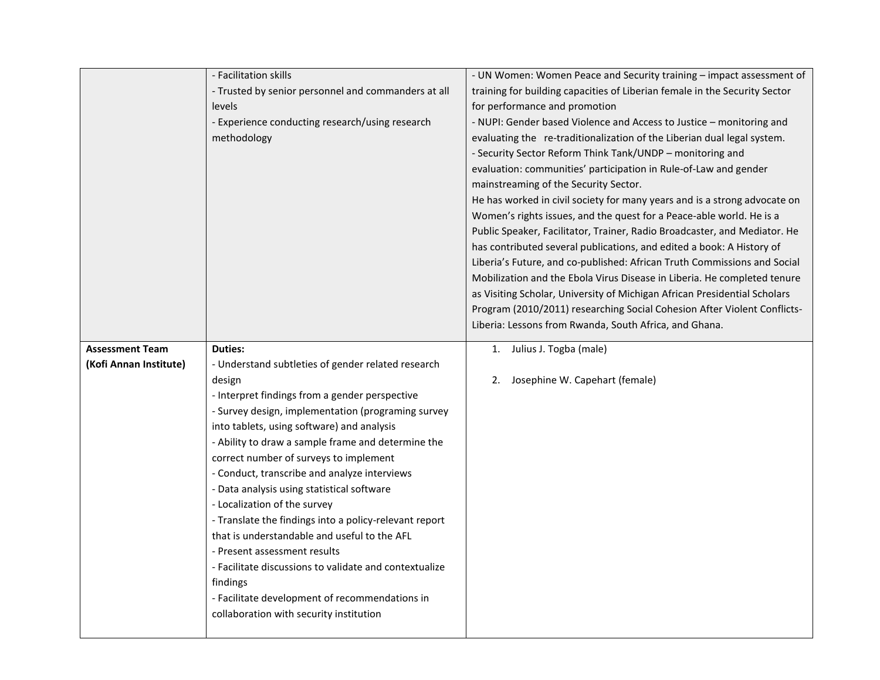|                        | - Facilitation skills                                  | - UN Women: Women Peace and Security training - impact assessment of       |
|------------------------|--------------------------------------------------------|----------------------------------------------------------------------------|
|                        | - Trusted by senior personnel and commanders at all    | training for building capacities of Liberian female in the Security Sector |
|                        | levels                                                 | for performance and promotion                                              |
|                        | - Experience conducting research/using research        | - NUPI: Gender based Violence and Access to Justice - monitoring and       |
|                        | methodology                                            | evaluating the re-traditionalization of the Liberian dual legal system.    |
|                        |                                                        | - Security Sector Reform Think Tank/UNDP - monitoring and                  |
|                        |                                                        | evaluation: communities' participation in Rule-of-Law and gender           |
|                        |                                                        | mainstreaming of the Security Sector.                                      |
|                        |                                                        | He has worked in civil society for many years and is a strong advocate on  |
|                        |                                                        | Women's rights issues, and the quest for a Peace-able world. He is a       |
|                        |                                                        | Public Speaker, Facilitator, Trainer, Radio Broadcaster, and Mediator. He  |
|                        |                                                        | has contributed several publications, and edited a book: A History of      |
|                        |                                                        | Liberia's Future, and co-published: African Truth Commissions and Social   |
|                        |                                                        | Mobilization and the Ebola Virus Disease in Liberia. He completed tenure   |
|                        |                                                        | as Visiting Scholar, University of Michigan African Presidential Scholars  |
|                        |                                                        | Program (2010/2011) researching Social Cohesion After Violent Conflicts-   |
|                        |                                                        | Liberia: Lessons from Rwanda, South Africa, and Ghana.                     |
| <b>Assessment Team</b> | <b>Duties:</b>                                         | 1. Julius J. Togba (male)                                                  |
| (Kofi Annan Institute) | - Understand subtleties of gender related research     |                                                                            |
|                        | design                                                 | 2. Josephine W. Capehart (female)                                          |
|                        | - Interpret findings from a gender perspective         |                                                                            |
|                        | - Survey design, implementation (programing survey     |                                                                            |
|                        | into tablets, using software) and analysis             |                                                                            |
|                        | - Ability to draw a sample frame and determine the     |                                                                            |
|                        | correct number of surveys to implement                 |                                                                            |
|                        | - Conduct, transcribe and analyze interviews           |                                                                            |
|                        | - Data analysis using statistical software             |                                                                            |
|                        | - Localization of the survey                           |                                                                            |
|                        | - Translate the findings into a policy-relevant report |                                                                            |
|                        | that is understandable and useful to the AFL           |                                                                            |
|                        | - Present assessment results                           |                                                                            |
|                        | - Facilitate discussions to validate and contextualize |                                                                            |
|                        | findings                                               |                                                                            |
|                        | - Facilitate development of recommendations in         |                                                                            |
|                        | collaboration with security institution                |                                                                            |
|                        |                                                        |                                                                            |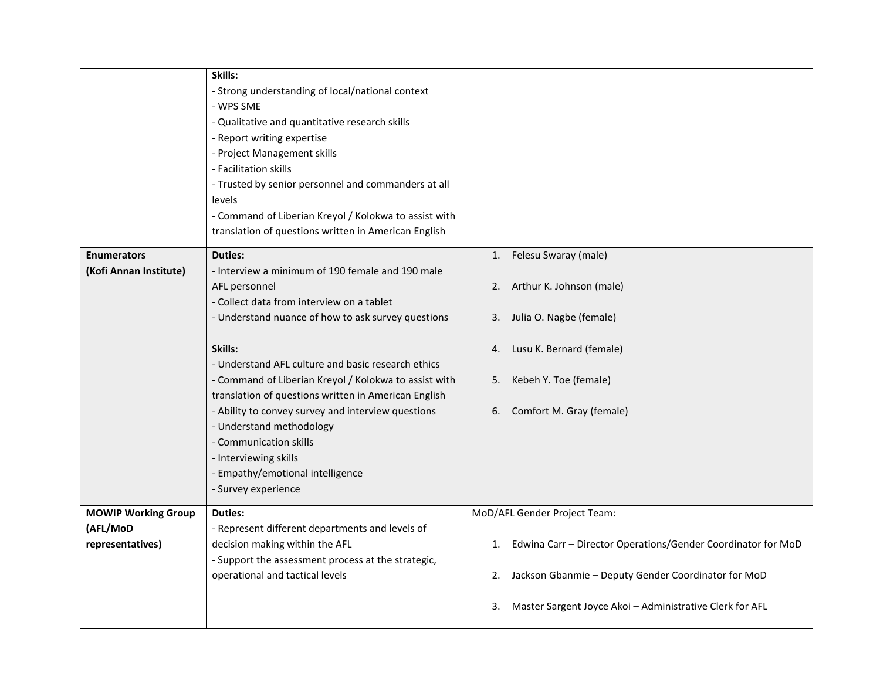|                                                            | Skills:<br>- Strong understanding of local/national context<br>- WPS SME<br>- Qualitative and quantitative research skills<br>- Report writing expertise<br>- Project Management skills<br>- Facilitation skills<br>- Trusted by senior personnel and commanders at all<br>levels<br>- Command of Liberian Kreyol / Kolokwa to assist with<br>translation of questions written in American English                                                                                                                                                                       |                                                                                                                                                                                                                                |
|------------------------------------------------------------|--------------------------------------------------------------------------------------------------------------------------------------------------------------------------------------------------------------------------------------------------------------------------------------------------------------------------------------------------------------------------------------------------------------------------------------------------------------------------------------------------------------------------------------------------------------------------|--------------------------------------------------------------------------------------------------------------------------------------------------------------------------------------------------------------------------------|
| <b>Enumerators</b><br>(Kofi Annan Institute)               | <b>Duties:</b><br>- Interview a minimum of 190 female and 190 male<br>AFL personnel<br>- Collect data from interview on a tablet<br>- Understand nuance of how to ask survey questions<br>Skills:<br>- Understand AFL culture and basic research ethics<br>- Command of Liberian Kreyol / Kolokwa to assist with<br>translation of questions written in American English<br>- Ability to convey survey and interview questions<br>- Understand methodology<br>- Communication skills<br>- Interviewing skills<br>- Empathy/emotional intelligence<br>- Survey experience | Felesu Swaray (male)<br>1.<br>2. Arthur K. Johnson (male)<br>3. Julia O. Nagbe (female)<br>Lusu K. Bernard (female)<br>4.<br>Kebeh Y. Toe (female)<br>5.<br>Comfort M. Gray (female)<br>6.                                     |
| <b>MOWIP Working Group</b><br>(AFL/MoD<br>representatives) | <b>Duties:</b><br>- Represent different departments and levels of<br>decision making within the AFL<br>- Support the assessment process at the strategic,<br>operational and tactical levels                                                                                                                                                                                                                                                                                                                                                                             | MoD/AFL Gender Project Team:<br>Edwina Carr - Director Operations/Gender Coordinator for MoD<br>1.<br>2. Jackson Gbanmie - Deputy Gender Coordinator for MoD<br>Master Sargent Joyce Akoi - Administrative Clerk for AFL<br>3. |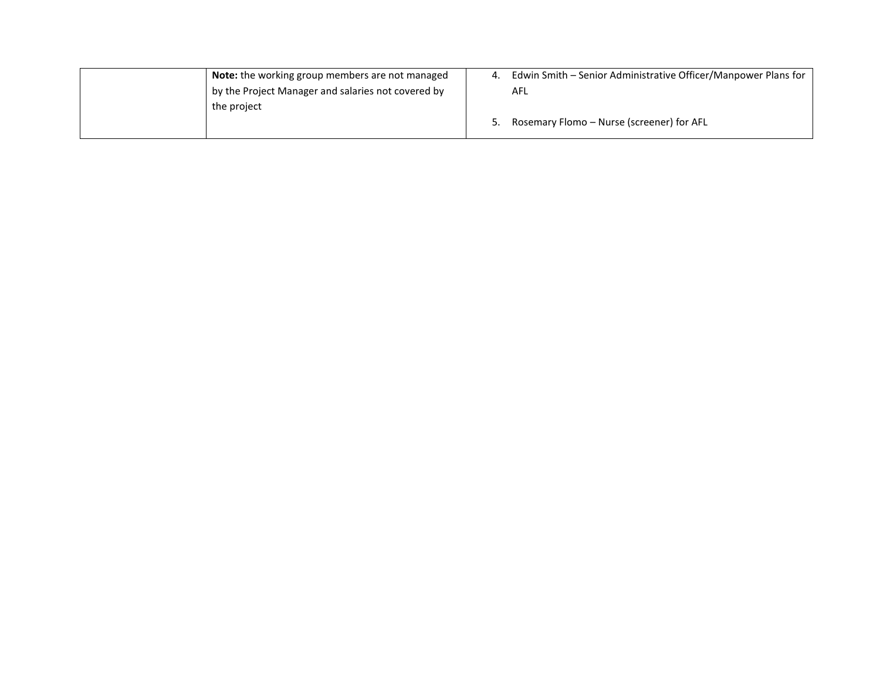| Note: the working group members are not managed    | 4. | Edwin Smith - Senior Administrative Officer/Manpower Plans for |
|----------------------------------------------------|----|----------------------------------------------------------------|
| by the Project Manager and salaries not covered by |    | AFL                                                            |
| the project                                        |    |                                                                |
|                                                    | 5. | Rosemary Flomo - Nurse (screener) for AFL                      |
|                                                    |    |                                                                |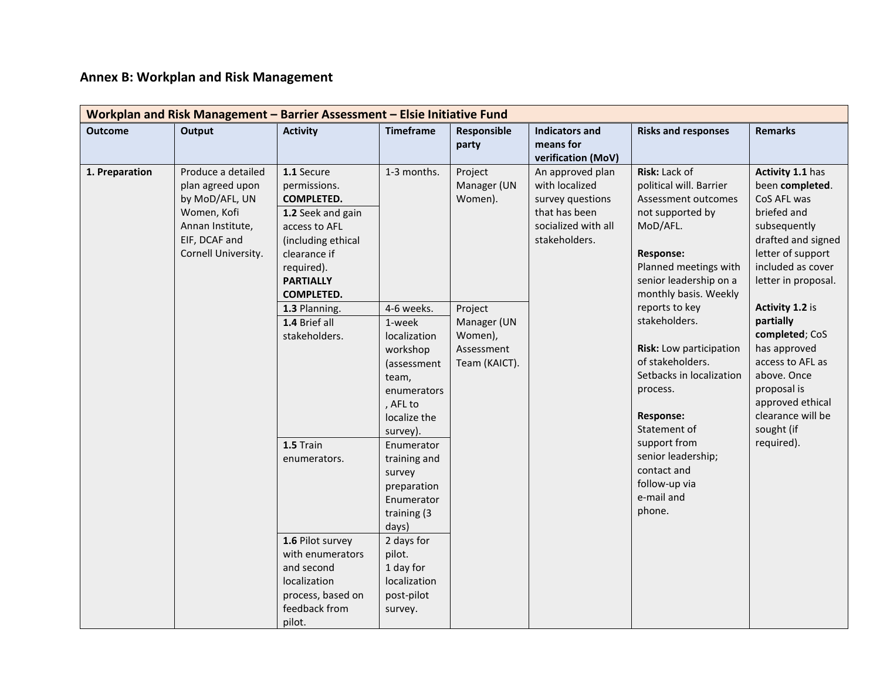# **Annex B: Workplan and Risk Management**

| Workplan and Risk Management - Barrier Assessment - Elsie Initiative Fund |                                                                                                                                     |                                                                                                                                                                                                                      |                                                                                                                                                                         |                                                             |                                                                                                                 |                                                                                                                                                                                                                             |                                                                                                                                                                                                          |  |  |
|---------------------------------------------------------------------------|-------------------------------------------------------------------------------------------------------------------------------------|----------------------------------------------------------------------------------------------------------------------------------------------------------------------------------------------------------------------|-------------------------------------------------------------------------------------------------------------------------------------------------------------------------|-------------------------------------------------------------|-----------------------------------------------------------------------------------------------------------------|-----------------------------------------------------------------------------------------------------------------------------------------------------------------------------------------------------------------------------|----------------------------------------------------------------------------------------------------------------------------------------------------------------------------------------------------------|--|--|
| <b>Outcome</b>                                                            | Output                                                                                                                              | <b>Activity</b>                                                                                                                                                                                                      | <b>Timeframe</b>                                                                                                                                                        | Responsible<br>party                                        | <b>Indicators and</b><br>means for<br>verification (MoV)                                                        | <b>Risks and responses</b>                                                                                                                                                                                                  | <b>Remarks</b>                                                                                                                                                                                           |  |  |
| 1. Preparation                                                            | Produce a detailed<br>plan agreed upon<br>by MoD/AFL, UN<br>Women, Kofi<br>Annan Institute,<br>EIF, DCAF and<br>Cornell University. | 1.1 Secure<br>permissions.<br><b>COMPLETED.</b><br>1.2 Seek and gain<br>access to AFL<br>(including ethical<br>clearance if<br>required).<br><b>PARTIALLY</b><br><b>COMPLETED.</b><br>1.3 Planning.<br>1.4 Brief all | 1-3 months.<br>4-6 weeks.<br>1-week                                                                                                                                     | Project<br>Manager (UN<br>Women).<br>Project<br>Manager (UN | An approved plan<br>with localized<br>survey questions<br>that has been<br>socialized with all<br>stakeholders. | Risk: Lack of<br>political will. Barrier<br>Assessment outcomes<br>not supported by<br>MoD/AFL.<br>Response:<br>Planned meetings with<br>senior leadership on a<br>monthly basis. Weekly<br>reports to key<br>stakeholders. | Activity 1.1 has<br>been completed.<br>CoS AFL was<br>briefed and<br>subsequently<br>drafted and signed<br>letter of support<br>included as cover<br>letter in proposal.<br>Activity 1.2 is<br>partially |  |  |
|                                                                           |                                                                                                                                     | stakeholders.                                                                                                                                                                                                        | localization<br>workshop<br>(assessment<br>team,<br>enumerators<br>, AFL to<br>localize the<br>survey).                                                                 | Women),<br>Assessment<br>Team (KAICT).                      |                                                                                                                 | Risk: Low participation<br>of stakeholders.<br>Setbacks in localization<br>process.<br><b>Response:</b><br>Statement of                                                                                                     | completed; CoS<br>has approved<br>access to AFL as<br>above. Once<br>proposal is<br>approved ethical<br>clearance will be<br>sought (if                                                                  |  |  |
|                                                                           |                                                                                                                                     | 1.5 Train<br>enumerators.<br>1.6 Pilot survey<br>with enumerators<br>and second<br>localization<br>process, based on<br>feedback from<br>pilot.                                                                      | Enumerator<br>training and<br>survey<br>preparation<br>Enumerator<br>training (3<br>days)<br>2 days for<br>pilot.<br>1 day for<br>localization<br>post-pilot<br>survey. |                                                             |                                                                                                                 | support from<br>senior leadership;<br>contact and<br>follow-up via<br>e-mail and<br>phone.                                                                                                                                  | required).                                                                                                                                                                                               |  |  |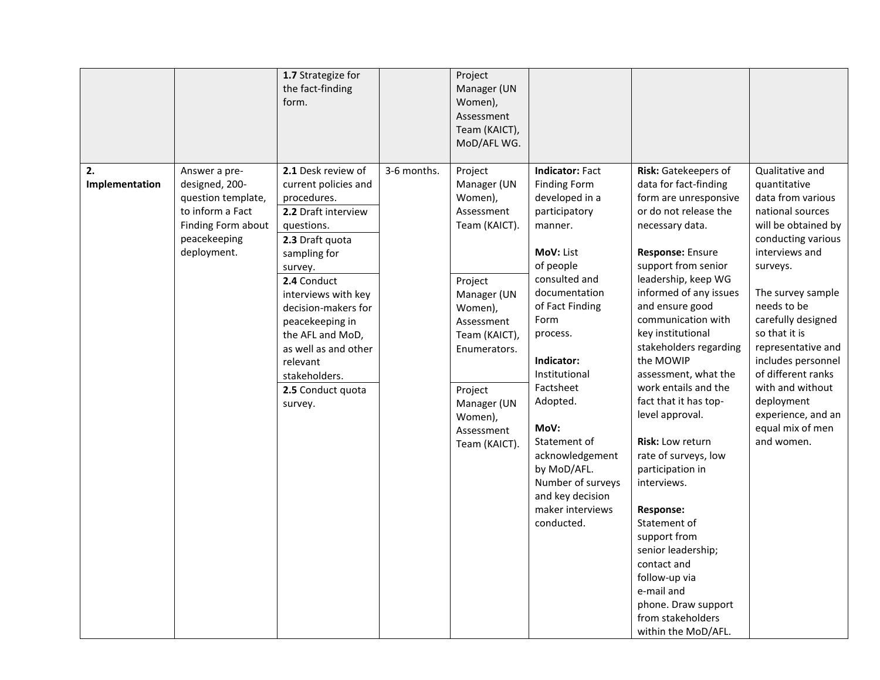|                      |                                                                                                                                | 1.7 Strategize for<br>the fact-finding<br>form.                                                                                                       |             | Project<br>Manager (UN<br>Women),<br>Assessment<br>Team (KAICT),<br>MoD/AFL WG.  |                                                                                                                                                            |                                                                                                                                                                                                                                                                                                                                            |                                                                                                                                                     |
|----------------------|--------------------------------------------------------------------------------------------------------------------------------|-------------------------------------------------------------------------------------------------------------------------------------------------------|-------------|----------------------------------------------------------------------------------|------------------------------------------------------------------------------------------------------------------------------------------------------------|--------------------------------------------------------------------------------------------------------------------------------------------------------------------------------------------------------------------------------------------------------------------------------------------------------------------------------------------|-----------------------------------------------------------------------------------------------------------------------------------------------------|
| 2.<br>Implementation | Answer a pre-<br>designed, 200-<br>question template,<br>to inform a Fact<br>Finding Form about<br>peacekeeping<br>deployment. | 2.1 Desk review of<br>current policies and<br>procedures.<br>2.2 Draft interview<br>questions.<br>2.3 Draft quota<br>sampling for<br>survey.          | 3-6 months. | Project<br>Manager (UN<br>Women),<br>Assessment<br>Team (KAICT).                 | <b>Indicator: Fact</b><br><b>Finding Form</b><br>developed in a<br>participatory<br>manner.<br>MoV: List<br>of people                                      | Risk: Gatekeepers of<br>data for fact-finding<br>form are unresponsive<br>or do not release the<br>necessary data.<br>Response: Ensure<br>support from senior                                                                                                                                                                              | Qualitative and<br>quantitative<br>data from various<br>national sources<br>will be obtained by<br>conducting various<br>interviews and<br>surveys. |
|                      |                                                                                                                                | 2.4 Conduct<br>interviews with key<br>decision-makers for<br>peacekeeping in<br>the AFL and MoD,<br>as well as and other<br>relevant<br>stakeholders. |             | Project<br>Manager (UN<br>Women),<br>Assessment<br>Team (KAICT),<br>Enumerators. | consulted and<br>documentation<br>of Fact Finding<br>Form<br>process.<br>Indicator:<br>Institutional                                                       | leadership, keep WG<br>informed of any issues<br>and ensure good<br>communication with<br>key institutional<br>stakeholders regarding<br>the MOWIP<br>assessment, what the                                                                                                                                                                 | The survey sample<br>needs to be<br>carefully designed<br>so that it is<br>representative and<br>includes personnel<br>of different ranks           |
|                      |                                                                                                                                | 2.5 Conduct quota<br>survey.                                                                                                                          |             | Project<br>Manager (UN<br>Women),<br>Assessment<br>Team (KAICT).                 | Factsheet<br>Adopted.<br>MoV:<br>Statement of<br>acknowledgement<br>by MoD/AFL.<br>Number of surveys<br>and key decision<br>maker interviews<br>conducted. | work entails and the<br>fact that it has top-<br>level approval.<br>Risk: Low return<br>rate of surveys, low<br>participation in<br>interviews.<br><b>Response:</b><br>Statement of<br>support from<br>senior leadership;<br>contact and<br>follow-up via<br>e-mail and<br>phone. Draw support<br>from stakeholders<br>within the MoD/AFL. | with and without<br>deployment<br>experience, and an<br>equal mix of men<br>and women.                                                              |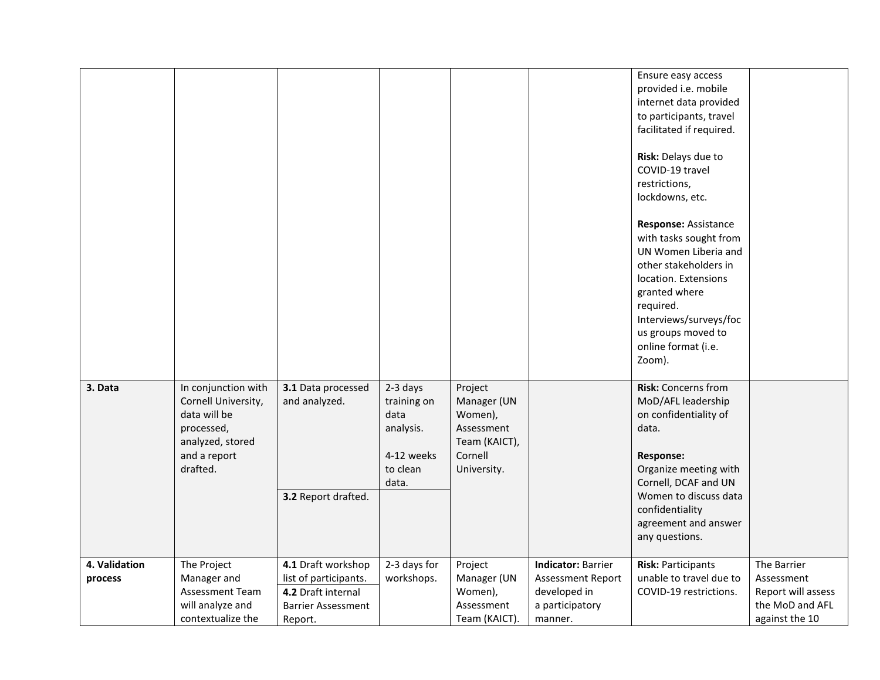|               |                                                                                                                          |                                                            |                                                                                 |                                                                                            |                           | Ensure easy access<br>provided i.e. mobile<br>internet data provided<br>to participants, travel<br>facilitated if required.<br>Risk: Delays due to<br>COVID-19 travel<br>restrictions,<br>lockdowns, etc.<br>Response: Assistance<br>with tasks sought from<br>UN Women Liberia and<br>other stakeholders in<br>location. Extensions<br>granted where<br>required.<br>Interviews/surveys/foc<br>us groups moved to<br>online format (i.e.<br>Zoom). |                    |
|---------------|--------------------------------------------------------------------------------------------------------------------------|------------------------------------------------------------|---------------------------------------------------------------------------------|--------------------------------------------------------------------------------------------|---------------------------|-----------------------------------------------------------------------------------------------------------------------------------------------------------------------------------------------------------------------------------------------------------------------------------------------------------------------------------------------------------------------------------------------------------------------------------------------------|--------------------|
| 3. Data       | In conjunction with<br>Cornell University,<br>data will be<br>processed,<br>analyzed, stored<br>and a report<br>drafted. | 3.1 Data processed<br>and analyzed.<br>3.2 Report drafted. | 2-3 days<br>training on<br>data<br>analysis.<br>4-12 weeks<br>to clean<br>data. | Project<br>Manager (UN<br>Women),<br>Assessment<br>Team (KAICT),<br>Cornell<br>University. |                           | <b>Risk:</b> Concerns from<br>MoD/AFL leadership<br>on confidentiality of<br>data.<br><b>Response:</b><br>Organize meeting with<br>Cornell, DCAF and UN<br>Women to discuss data<br>confidentiality<br>agreement and answer<br>any questions.                                                                                                                                                                                                       |                    |
| 4. Validation | The Project                                                                                                              | 4.1 Draft workshop                                         | 2-3 days for                                                                    | Project                                                                                    | <b>Indicator: Barrier</b> | <b>Risk: Participants</b>                                                                                                                                                                                                                                                                                                                                                                                                                           | The Barrier        |
| process       | Manager and                                                                                                              | list of participants.                                      | workshops.                                                                      | Manager (UN                                                                                | <b>Assessment Report</b>  | unable to travel due to                                                                                                                                                                                                                                                                                                                                                                                                                             | Assessment         |
|               | Assessment Team                                                                                                          | 4.2 Draft internal                                         |                                                                                 | Women),                                                                                    | developed in              | COVID-19 restrictions.                                                                                                                                                                                                                                                                                                                                                                                                                              | Report will assess |
|               | will analyze and                                                                                                         | <b>Barrier Assessment</b>                                  |                                                                                 | Assessment                                                                                 | a participatory           |                                                                                                                                                                                                                                                                                                                                                                                                                                                     | the MoD and AFL    |
|               | contextualize the                                                                                                        | Report.                                                    |                                                                                 | Team (KAICT).                                                                              | manner.                   |                                                                                                                                                                                                                                                                                                                                                                                                                                                     | against the 10     |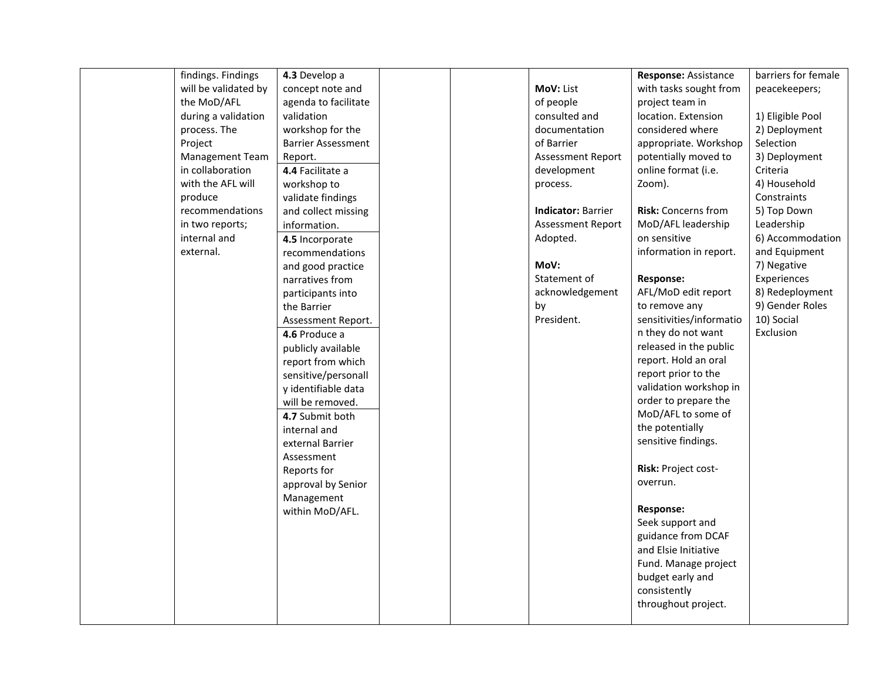| findings. Findings   | 4.3 Develop a             |  |                           | Response: Assistance     | barriers for female |
|----------------------|---------------------------|--|---------------------------|--------------------------|---------------------|
| will be validated by | concept note and          |  | MoV: List                 | with tasks sought from   | peacekeepers;       |
| the MoD/AFL          | agenda to facilitate      |  | of people                 | project team in          |                     |
| during a validation  | validation                |  | consulted and             | location. Extension      | 1) Eligible Pool    |
| process. The         | workshop for the          |  | documentation             | considered where         | 2) Deployment       |
| Project              | <b>Barrier Assessment</b> |  | of Barrier                | appropriate. Workshop    | Selection           |
| Management Team      | Report.                   |  | <b>Assessment Report</b>  | potentially moved to     | 3) Deployment       |
| in collaboration     | 4.4 Facilitate a          |  | development               | online format (i.e.      | Criteria            |
| with the AFL will    | workshop to               |  | process.                  | Zoom).                   | 4) Household        |
| produce              | validate findings         |  |                           |                          | Constraints         |
| recommendations      | and collect missing       |  | <b>Indicator: Barrier</b> | Risk: Concerns from      | 5) Top Down         |
| in two reports;      | information.              |  | Assessment Report         | MoD/AFL leadership       | Leadership          |
| internal and         | 4.5 Incorporate           |  | Adopted.                  | on sensitive             | 6) Accommodation    |
| external.            | recommendations           |  |                           | information in report.   | and Equipment       |
|                      | and good practice         |  | MoV:                      |                          | 7) Negative         |
|                      | narratives from           |  | Statement of              | <b>Response:</b>         | Experiences         |
|                      | participants into         |  | acknowledgement           | AFL/MoD edit report      | 8) Redeployment     |
|                      | the Barrier               |  | by                        | to remove any            | 9) Gender Roles     |
|                      | Assessment Report.        |  | President.                | sensitivities/informatio | 10) Social          |
|                      | 4.6 Produce a             |  |                           | n they do not want       | Exclusion           |
|                      | publicly available        |  |                           | released in the public   |                     |
|                      | report from which         |  |                           | report. Hold an oral     |                     |
|                      | sensitive/personall       |  |                           | report prior to the      |                     |
|                      | y identifiable data       |  |                           | validation workshop in   |                     |
|                      | will be removed.          |  |                           | order to prepare the     |                     |
|                      | 4.7 Submit both           |  |                           | MoD/AFL to some of       |                     |
|                      | internal and              |  |                           | the potentially          |                     |
|                      | external Barrier          |  |                           | sensitive findings.      |                     |
|                      | Assessment                |  |                           |                          |                     |
|                      | Reports for               |  |                           | Risk: Project cost-      |                     |
|                      | approval by Senior        |  |                           | overrun.                 |                     |
|                      | Management                |  |                           |                          |                     |
|                      | within MoD/AFL.           |  |                           | Response:                |                     |
|                      |                           |  |                           | Seek support and         |                     |
|                      |                           |  |                           | guidance from DCAF       |                     |
|                      |                           |  |                           | and Elsie Initiative     |                     |
|                      |                           |  |                           | Fund. Manage project     |                     |
|                      |                           |  |                           | budget early and         |                     |
|                      |                           |  |                           | consistently             |                     |
|                      |                           |  |                           | throughout project.      |                     |
|                      |                           |  |                           |                          |                     |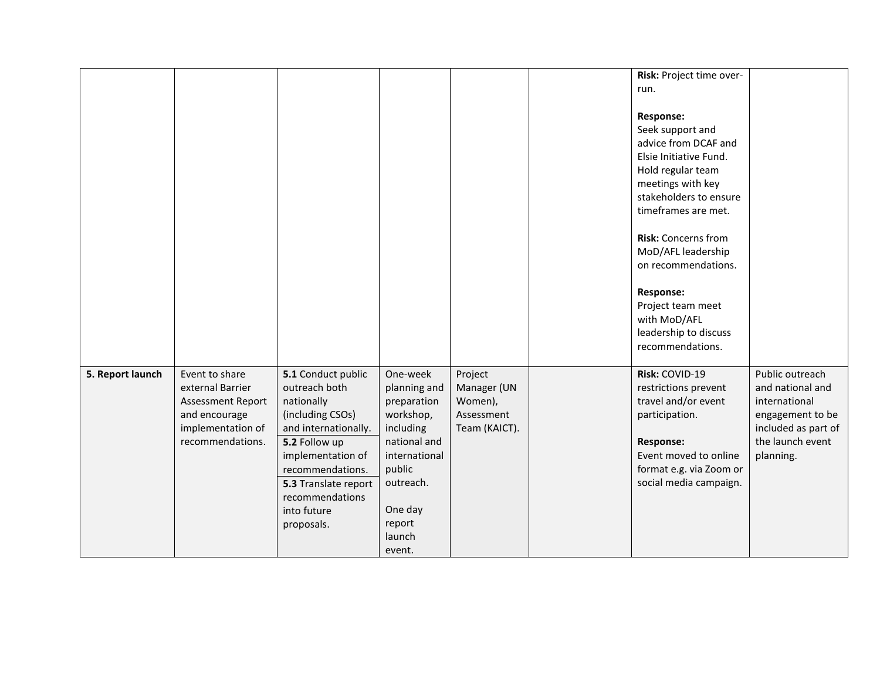|                  |                                                                                                                          |                                                                                                                                                                                                                                 |                                                                                                                                                                    |                                                                  | Risk: Project time over-<br>run.<br><b>Response:</b><br>Seek support and<br>advice from DCAF and<br>Elsie Initiative Fund.<br>Hold regular team<br>meetings with key<br>stakeholders to ensure<br>timeframes are met.<br><b>Risk: Concerns from</b><br>MoD/AFL leadership<br>on recommendations.<br><b>Response:</b><br>Project team meet<br>with MoD/AFL<br>leadership to discuss<br>recommendations. |                                                                                                                                  |
|------------------|--------------------------------------------------------------------------------------------------------------------------|---------------------------------------------------------------------------------------------------------------------------------------------------------------------------------------------------------------------------------|--------------------------------------------------------------------------------------------------------------------------------------------------------------------|------------------------------------------------------------------|--------------------------------------------------------------------------------------------------------------------------------------------------------------------------------------------------------------------------------------------------------------------------------------------------------------------------------------------------------------------------------------------------------|----------------------------------------------------------------------------------------------------------------------------------|
| 5. Report launch | Event to share<br>external Barrier<br><b>Assessment Report</b><br>and encourage<br>implementation of<br>recommendations. | 5.1 Conduct public<br>outreach both<br>nationally<br>(including CSOs)<br>and internationally.<br>5.2 Follow up<br>implementation of<br>recommendations.<br>5.3 Translate report<br>recommendations<br>into future<br>proposals. | One-week<br>planning and<br>preparation<br>workshop,<br>including<br>national and<br>international<br>public<br>outreach.<br>One day<br>report<br>launch<br>event. | Project<br>Manager (UN<br>Women),<br>Assessment<br>Team (KAICT). | Risk: COVID-19<br>restrictions prevent<br>travel and/or event<br>participation.<br><b>Response:</b><br>Event moved to online<br>format e.g. via Zoom or<br>social media campaign.                                                                                                                                                                                                                      | Public outreach<br>and national and<br>international<br>engagement to be<br>included as part of<br>the launch event<br>planning. |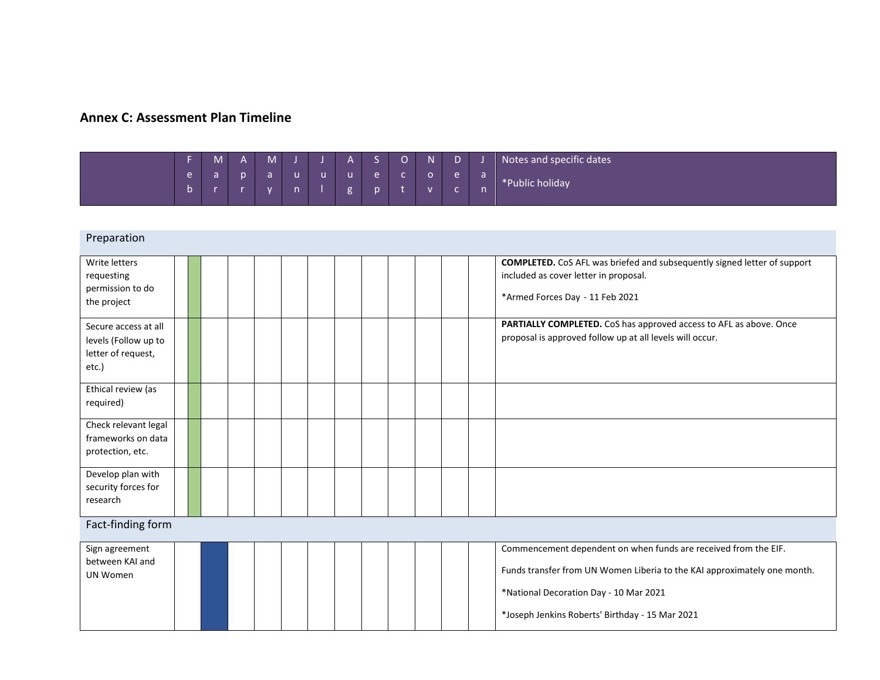## **Annex C: Assessment Plan Timeline**

|  | IVI. | M. |  |  | ⌒ | <b>AT</b> |  | Notes and specific dates |
|--|------|----|--|--|---|-----------|--|--------------------------|
|  |      |    |  |  |   |           |  | *Public holiday          |
|  |      |    |  |  |   |           |  |                          |

#### Preparation Write letters requesting permission to do the project **COMPLETED.** CoS AFL was briefed and subsequently signed letter of support included as cover letter in proposal. \*Armed Forces Day - 11 Feb 2021 Secure access at all levels (Follow up to letter of request, etc.) **PARTIALLY COMPLETED.** CoS has approved access to AFL as above. Once proposal is approved follow up at all levels will occur. Ethical review (as required) Check relevant legal frameworks on data protection, etc. Develop plan with security forces for research Fact-finding form Sign agreement between KAI and UN Women Commencement dependent on when funds are received from the EIF. Funds transfer from UN Women Liberia to the KAI approximately one month. \*National Decoration Day - 10 Mar 2021 \*Joseph Jenkins Roberts' Birthday - 15 Mar 2021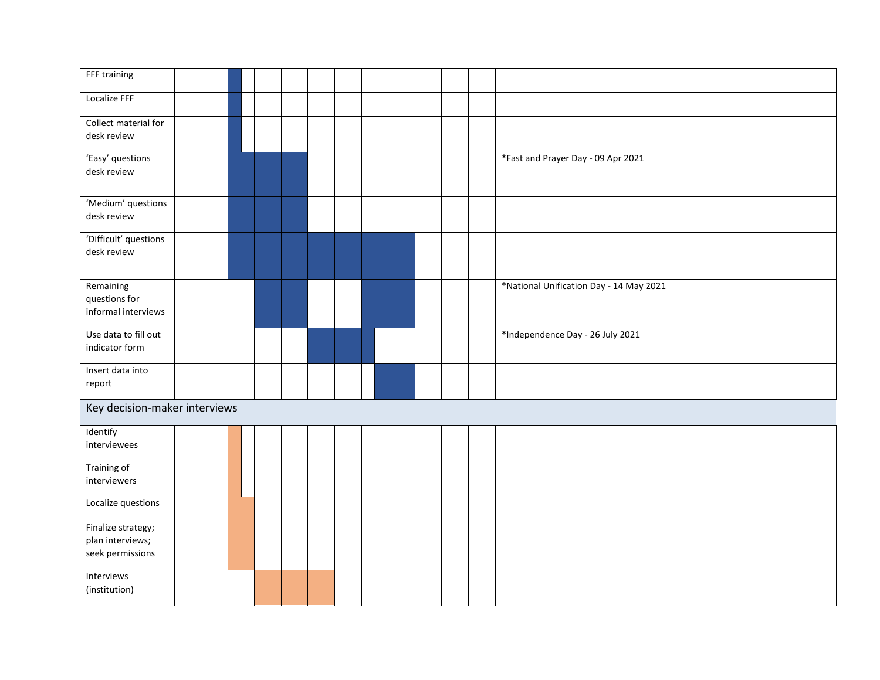| FFF training                                               |  |  |  |  |  |  |                                         |
|------------------------------------------------------------|--|--|--|--|--|--|-----------------------------------------|
| Localize FFF                                               |  |  |  |  |  |  |                                         |
| Collect material for<br>desk review                        |  |  |  |  |  |  |                                         |
| 'Easy' questions<br>desk review                            |  |  |  |  |  |  | *Fast and Prayer Day - 09 Apr 2021      |
| 'Medium' questions<br>desk review                          |  |  |  |  |  |  |                                         |
| 'Difficult' questions<br>desk review                       |  |  |  |  |  |  |                                         |
| Remaining<br>questions for<br>informal interviews          |  |  |  |  |  |  | *National Unification Day - 14 May 2021 |
| Use data to fill out<br>indicator form                     |  |  |  |  |  |  | *Independence Day - 26 July 2021        |
| Insert data into<br>report                                 |  |  |  |  |  |  |                                         |
| Key decision-maker interviews                              |  |  |  |  |  |  |                                         |
| Identify<br>interviewees                                   |  |  |  |  |  |  |                                         |
| Training of<br>interviewers                                |  |  |  |  |  |  |                                         |
| Localize questions                                         |  |  |  |  |  |  |                                         |
| Finalize strategy;<br>plan interviews;<br>seek permissions |  |  |  |  |  |  |                                         |
| Interviews<br>(institution)                                |  |  |  |  |  |  |                                         |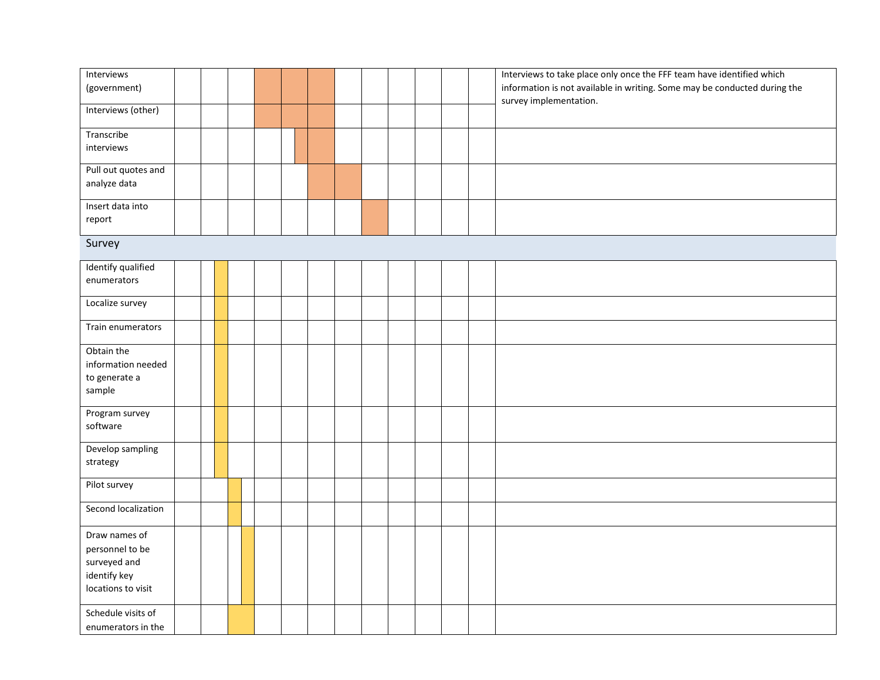| Interviews          |  |  |  |  |  |  | Interviews to take place only once the FFF team have identified which                               |
|---------------------|--|--|--|--|--|--|-----------------------------------------------------------------------------------------------------|
| (government)        |  |  |  |  |  |  | information is not available in writing. Some may be conducted during the<br>survey implementation. |
| Interviews (other)  |  |  |  |  |  |  |                                                                                                     |
| Transcribe          |  |  |  |  |  |  |                                                                                                     |
| interviews          |  |  |  |  |  |  |                                                                                                     |
| Pull out quotes and |  |  |  |  |  |  |                                                                                                     |
| analyze data        |  |  |  |  |  |  |                                                                                                     |
| Insert data into    |  |  |  |  |  |  |                                                                                                     |
| report              |  |  |  |  |  |  |                                                                                                     |
| Survey              |  |  |  |  |  |  |                                                                                                     |
| Identify qualified  |  |  |  |  |  |  |                                                                                                     |
| enumerators         |  |  |  |  |  |  |                                                                                                     |
| Localize survey     |  |  |  |  |  |  |                                                                                                     |
| Train enumerators   |  |  |  |  |  |  |                                                                                                     |
| Obtain the          |  |  |  |  |  |  |                                                                                                     |
| information needed  |  |  |  |  |  |  |                                                                                                     |
| to generate a       |  |  |  |  |  |  |                                                                                                     |
| sample              |  |  |  |  |  |  |                                                                                                     |
| Program survey      |  |  |  |  |  |  |                                                                                                     |
| software            |  |  |  |  |  |  |                                                                                                     |
| Develop sampling    |  |  |  |  |  |  |                                                                                                     |
| strategy            |  |  |  |  |  |  |                                                                                                     |
| Pilot survey        |  |  |  |  |  |  |                                                                                                     |
| Second localization |  |  |  |  |  |  |                                                                                                     |
| Draw names of       |  |  |  |  |  |  |                                                                                                     |
| personnel to be     |  |  |  |  |  |  |                                                                                                     |
| surveyed and        |  |  |  |  |  |  |                                                                                                     |
| identify key        |  |  |  |  |  |  |                                                                                                     |
| locations to visit  |  |  |  |  |  |  |                                                                                                     |
| Schedule visits of  |  |  |  |  |  |  |                                                                                                     |
| enumerators in the  |  |  |  |  |  |  |                                                                                                     |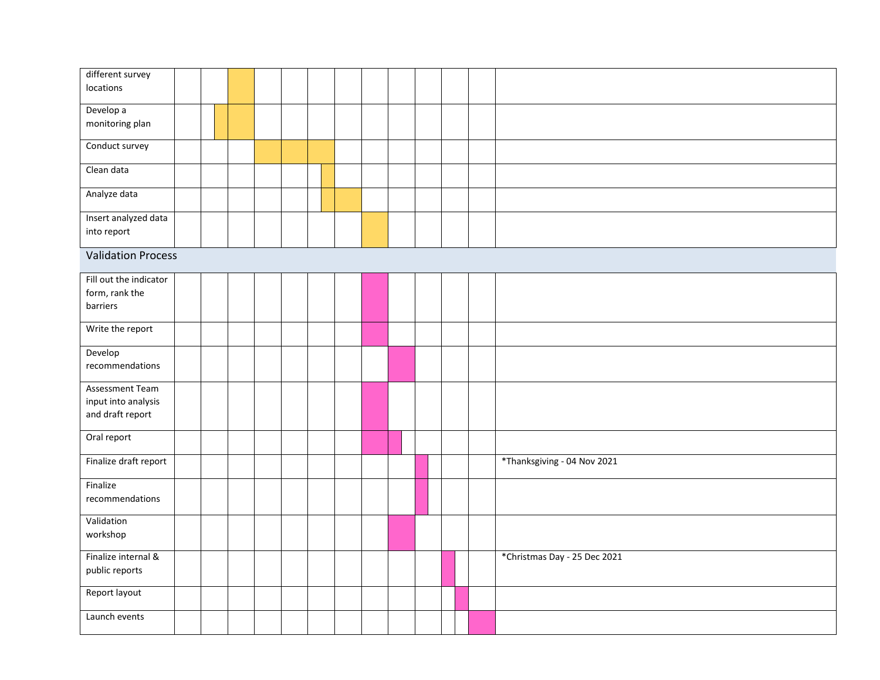| different survey          |  |  |  |  |  |  |                              |
|---------------------------|--|--|--|--|--|--|------------------------------|
| locations                 |  |  |  |  |  |  |                              |
| Develop a                 |  |  |  |  |  |  |                              |
| monitoring plan           |  |  |  |  |  |  |                              |
| Conduct survey            |  |  |  |  |  |  |                              |
| Clean data                |  |  |  |  |  |  |                              |
| Analyze data              |  |  |  |  |  |  |                              |
| Insert analyzed data      |  |  |  |  |  |  |                              |
| into report               |  |  |  |  |  |  |                              |
| <b>Validation Process</b> |  |  |  |  |  |  |                              |
| Fill out the indicator    |  |  |  |  |  |  |                              |
| form, rank the            |  |  |  |  |  |  |                              |
| barriers                  |  |  |  |  |  |  |                              |
| Write the report          |  |  |  |  |  |  |                              |
| Develop                   |  |  |  |  |  |  |                              |
| recommendations           |  |  |  |  |  |  |                              |
| Assessment Team           |  |  |  |  |  |  |                              |
| input into analysis       |  |  |  |  |  |  |                              |
| and draft report          |  |  |  |  |  |  |                              |
| Oral report               |  |  |  |  |  |  |                              |
| Finalize draft report     |  |  |  |  |  |  | *Thanksgiving - 04 Nov 2021  |
| Finalize                  |  |  |  |  |  |  |                              |
| recommendations           |  |  |  |  |  |  |                              |
| Validation                |  |  |  |  |  |  |                              |
| workshop                  |  |  |  |  |  |  |                              |
| Finalize internal &       |  |  |  |  |  |  | *Christmas Day - 25 Dec 2021 |
| public reports            |  |  |  |  |  |  |                              |
| Report layout             |  |  |  |  |  |  |                              |
| Launch events             |  |  |  |  |  |  |                              |